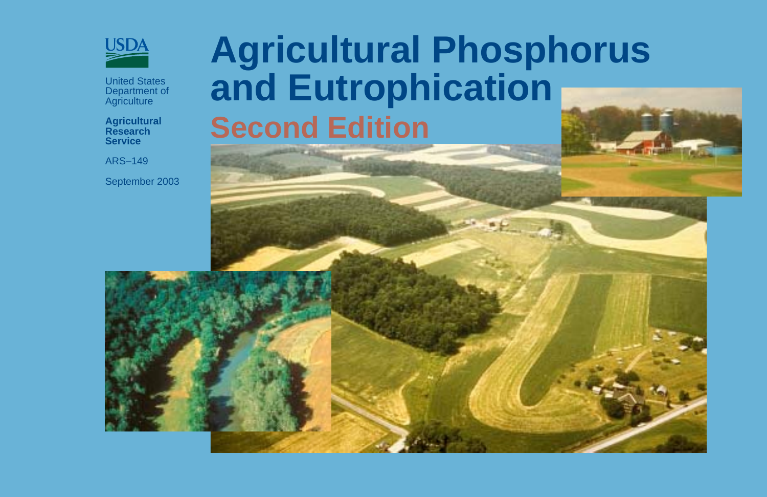

United States Department of **Agriculture** 

**Agricultural Research Service**

ARS–149

September 2003

# **Agricultural Phosphorus and Eutrophication Second Edition**

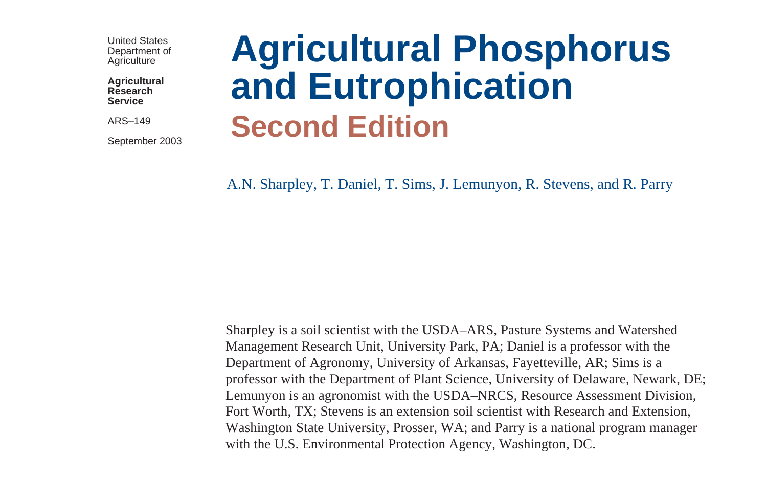United States Department of **Agriculture** 

**Agricultural Research Service**

ARS–149

September 2003

# **Agricultural Phosphorus and Eutrophication Second Edition**

A.N. Sharpley, T. Daniel, T. Sims, J. Lemunyon, R. Stevens, and R. Parry

Sharpley is a soil scientist with the USDA–ARS, Pasture Systems and Watershed Management Research Unit, University Park, PA; Daniel is a professor with the Department of Agronomy, University of Arkansas, Fayetteville, AR; Sims is a professor with the Department of Plant Science, University of Delaware, Newark, DE; Lemunyon is an agronomist with the USDA–NRCS, Resource Assessment Division, Fort Worth, TX; Stevens is an extension soil scientist with Research and Extension, Washington State University, Prosser, WA; and Parry is a national program manager with the U.S. Environmental Protection Agency, Washington, DC.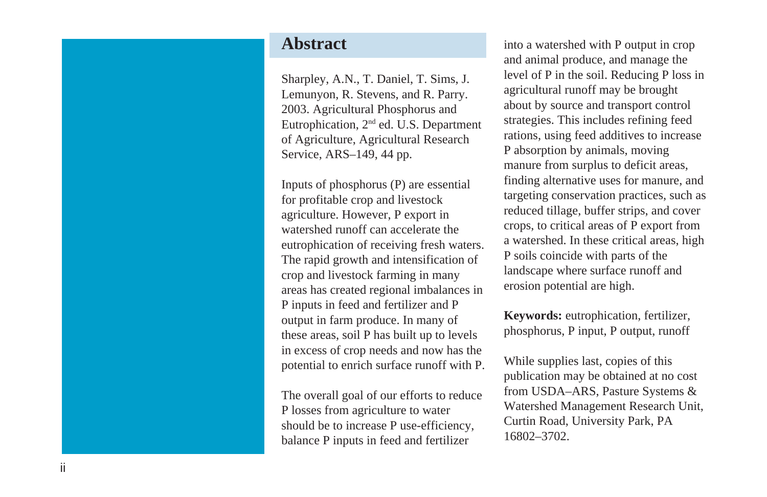## **Abstract**

Sharpley, A.N., T. Daniel, T. Sims, J. Lemunyon, R. Stevens, and R. Parry. 2003. Agricultural Phosphorus and Eutrophication, 2nd ed. U.S. Department of Agriculture, Agricultural Research Service, ARS–149, 44 pp.

Inputs of phosphorus (P) are essential for profitable crop and livestock agriculture. However, P export in watershed runoff can accelerate the eutrophication of receiving fresh waters. The rapid growth and intensification of crop and livestock farming in many areas has created regional imbalances in P inputs in feed and fertilizer and P output in farm produce. In many of these areas, soil P has built up to levels in excess of crop needs and now has the potential to enrich surface runoff with P.

The overall goal of our efforts to reduce P losses from agriculture to water should be to increase P use-efficiency, balance P inputs in feed and fertilizer

into a watershed with P output in crop and animal produce, and manage the level of P in the soil. Reducing P loss in agricultural runoff may be brought about by source and transport control strategies. This includes refining feed rations, using feed additives to increase P absorption by animals, moving manure from surplus to deficit areas, finding alternative uses for manure, and targeting conservation practices, such as reduced tillage, buffer strips, and cover crops, to critical areas of P export from a watershed. In these critical areas, high P soils coincide with parts of the landscape where surface runoff and erosion potential are high.

**Keywords:** eutrophication, fertilizer, phosphorus, P input, P output, runoff

While supplies last, copies of this publication may be obtained at no cost from USDA–ARS, Pasture Systems & Watershed Management Research Unit, Curtin Road, University Park, PA 16802–3702.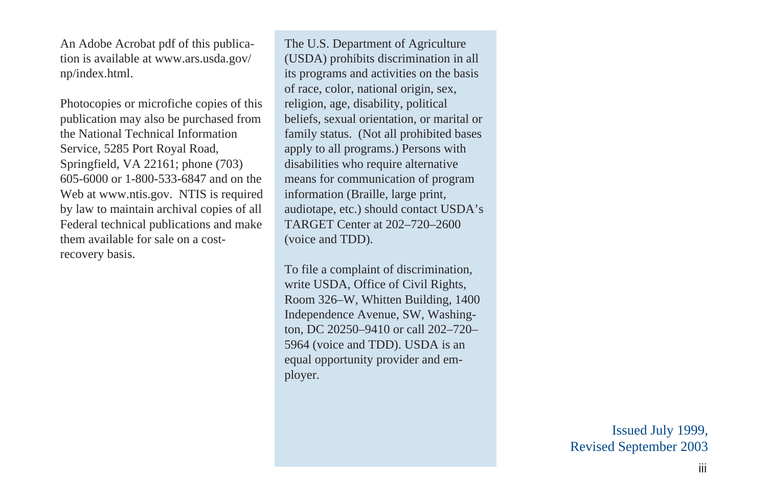An Adobe Acrobat pdf of this publication is available at www.ars.usda.gov/ np/index.html.

Photocopies or microfiche copies of this publication may also be purchased from the National Technical Information Service, 5285 Port Royal Road, Springfield, VA 22161; phone (703) 605-6000 or 1-800-533-6847 and on the Web at www.ntis.gov. NTIS is required by law to maintain archival copies of all Federal technical publications and make them available for sale on a costrecovery basis.

The U.S. Department of Agriculture (USDA) prohibits discrimination in all its programs and activities on the basis of race, color, national origin, sex, religion, age, disability, political beliefs, sexual orientation, or marital or family status. (Not all prohibited bases apply to all programs.) Persons with disabilities who require alternative means for communication of program information (Braille, large print, audiotape, etc.) should contact USDA's TARGET Center at 202–720–2600 (voice and TDD).

To file a complaint of discrimination, write USDA, Office of Civil Rights, Room 326–W, Whitten Building, 1400 Independence Avenue, SW, Washington, DC 20250–9410 or call 202–720– 5964 (voice and TDD). USDA is an equal opportunity provider and employer.

> Issued July 1999, Revised September 2003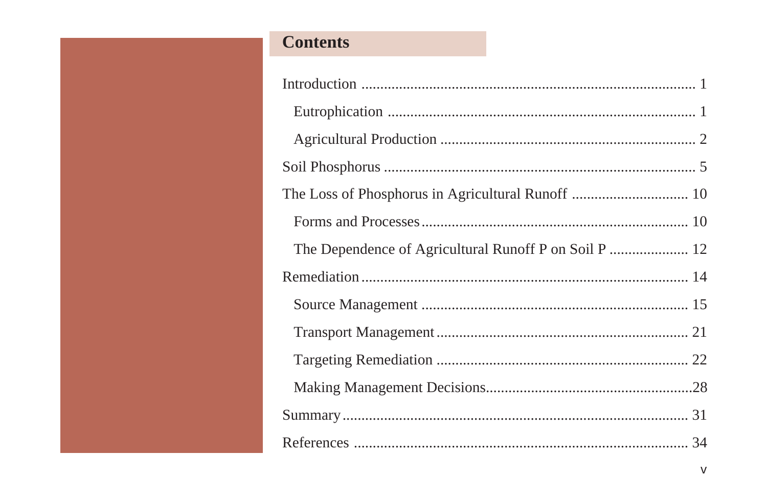# **Contents**

| The Dependence of Agricultural Runoff P on Soil P  12 |  |
|-------------------------------------------------------|--|
|                                                       |  |
|                                                       |  |
|                                                       |  |
|                                                       |  |
|                                                       |  |
|                                                       |  |
|                                                       |  |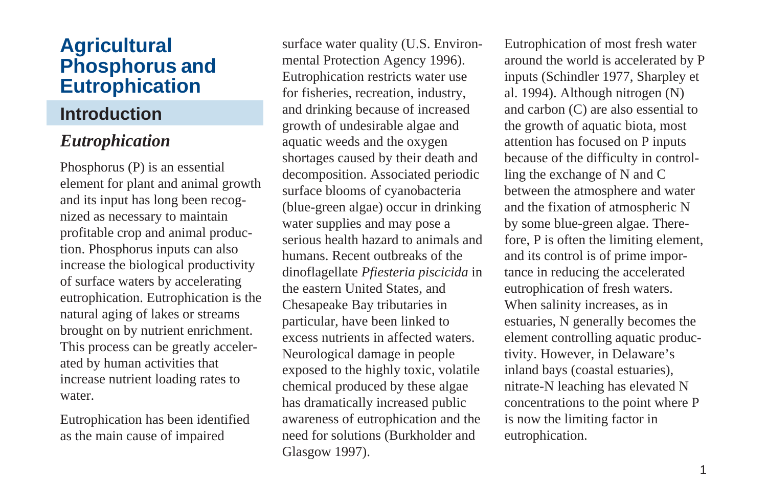# **Agricultural Phosphorus and Eutrophication**

# **Introduction**

# *Eutrophication*

Phosphorus (P) is an essential element for plant and animal growth and its input has long been recognized as necessary to maintain profitable crop and animal production. Phosphorus inputs can also increase the biological productivity of surface waters by accelerating eutrophication. Eutrophication is the natural aging of lakes or streams brought on by nutrient enrichment. This process can be greatly accelerated by human activities that increase nutrient loading rates to water.

Eutrophication has been identified as the main cause of impaired

surface water quality (U.S. Environmental Protection Agency 1996). Eutrophication restricts water use for fisheries, recreation, industry, and drinking because of increased growth of undesirable algae and aquatic weeds and the oxygen shortages caused by their death and decomposition. Associated periodic surface blooms of cyanobacteria (blue-green algae) occur in drinking water supplies and may pose a serious health hazard to animals and humans. Recent outbreaks of the dinoflagellate *Pfiesteria piscicida* in the eastern United States, and Chesapeake Bay tributaries in particular, have been linked to excess nutrients in affected waters. Neurological damage in people exposed to the highly toxic, volatile chemical produced by these algae has dramatically increased public awareness of eutrophication and the need for solutions (Burkholder and Glasgow 1997).

Eutrophication of most fresh water around the world is accelerated by P inputs (Schindler 1977, Sharpley et al. 1994). Although nitrogen (N) and carbon (C) are also essential to the growth of aquatic biota, most attention has focused on P inputs because of the difficulty in controlling the exchange of N and C between the atmosphere and water and the fixation of atmospheric N by some blue-green algae. Therefore, P is often the limiting element, and its control is of prime importance in reducing the accelerated eutrophication of fresh waters. When salinity increases, as in estuaries, N generally becomes the element controlling aquatic productivity. However, in Delaware's inland bays (coastal estuaries), nitrate-N leaching has elevated N concentrations to the point where P is now the limiting factor in eutrophication.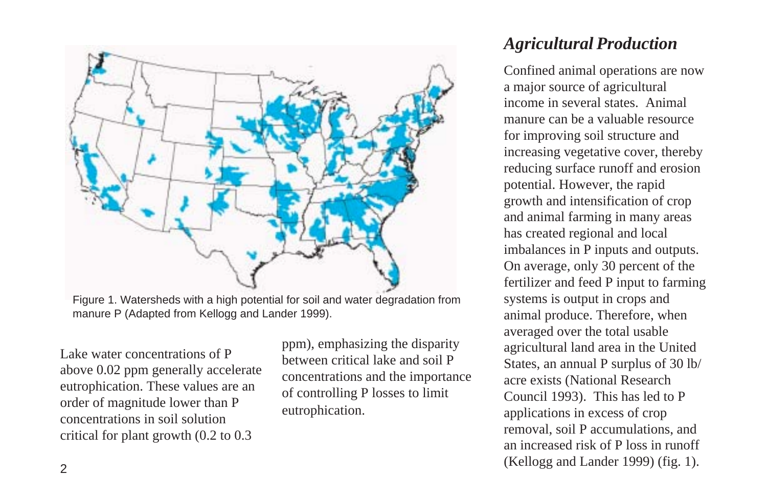

Figure 1. Watersheds with a high potential for soil and water degradation from manure P (Adapted from Kellogg and Lander 1999).

Lake water concentrations of P above 0.02 ppm generally accelerate eutrophication. These values are an order of magnitude lower than P concentrations in soil solution critical for plant growth (0.2 to 0.3

ppm), emphasizing the disparity between critical lake and soil P concentrations and the importance of controlling P losses to limit eutrophication.

# *Agricultural Production*

Confined animal operations are now a major source of agricultural income in several states. Animal manure can be a valuable resource for improving soil structure and increasing vegetative cover, thereby reducing surface runoff and erosion potential. However, the rapid growth and intensification of crop and animal farming in many areas has created regional and local imbalances in P inputs and outputs. On average, only 30 percent of the fertilizer and feed P input to farming systems is output in crops and animal produce. Therefore, when averaged over the total usable agricultural land area in the United States, an annual P surplus of 30 lb/ acre exists (National Research Council 1993). This has led to P applications in excess of crop removal, soil P accumulations, and an increased risk of P loss in runoff (Kellogg and Lander 1999) (fig. 1).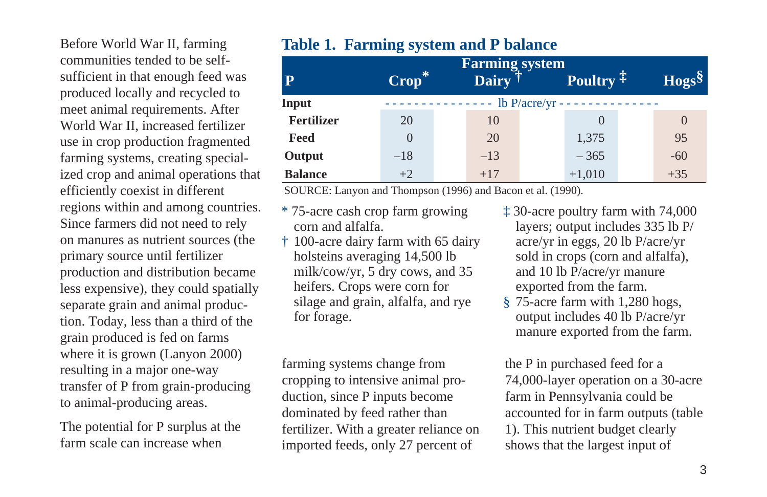Before World War II, farming communities tended to be selfsufficient in that enough feed was produced locally and recycled to meet animal requirements. After World War II, increased fertilizer use in crop production fragmented farming systems, creating specialized crop and animal operations that efficiently coexist in different regions within and among countries. Since farmers did not need to rely on manures as nutrient sources (the primary source until fertilizer production and distribution became less expensive), they could spatially separate grain and animal production. Today, less than a third of the grain produced is fed on farms where it is grown (Lanyon 2000) resulting in a major one-way transfer of P from grain-producing to animal-producing areas.

The potential for P surplus at the farm scale can increase when

## **Table 1. Farming system and P balance**

| ${\bf P}$         | Crop* | <b>Farming</b> system<br>Dairy <sup>1</sup> | Poultry $\ddagger$                | $Hogs^{\S}$ |
|-------------------|-------|---------------------------------------------|-----------------------------------|-------------|
| Input             |       |                                             | - lb $P/accre/yr - - - - - - - -$ |             |
| <b>Fertilizer</b> | 20    | 10                                          |                                   |             |
| Feed              |       | 20                                          | 1,375                             | 95          |
| Output            | $-18$ | $-13$                                       | $-365$                            | $-60$       |
| <b>Balance</b>    | $+2$  | $+17$                                       | $+1,010$                          | $+35$       |

SOURCE: Lanyon and Thompson (1996) and Bacon et al. (1990).

- \* 75-acre cash crop farm growing corn and alfalfa.
- † 100-acre dairy farm with 65 dairy holsteins averaging 14,500 lb milk/cow/yr, 5 dry cows, and 35 heifers. Crops were corn for silage and grain, alfalfa, and rye for forage.

farming systems change from cropping to intensive animal production, since P inputs become dominated by feed rather than fertilizer. With a greater reliance on imported feeds, only 27 percent of

- ‡ 30-acre poultry farm with 74,000 layers; output includes 335 lb P/ acre/yr in eggs, 20 lb P/acre/yr sold in crops (corn and alfalfa), and 10 lb P/acre/yr manure exported from the farm.
- § 75-acre farm with 1,280 hogs, output includes 40 lb P/acre/yr manure exported from the farm.

the P in purchased feed for a 74,000-layer operation on a 30-acre farm in Pennsylvania could be accounted for in farm outputs (table 1). This nutrient budget clearly shows that the largest input of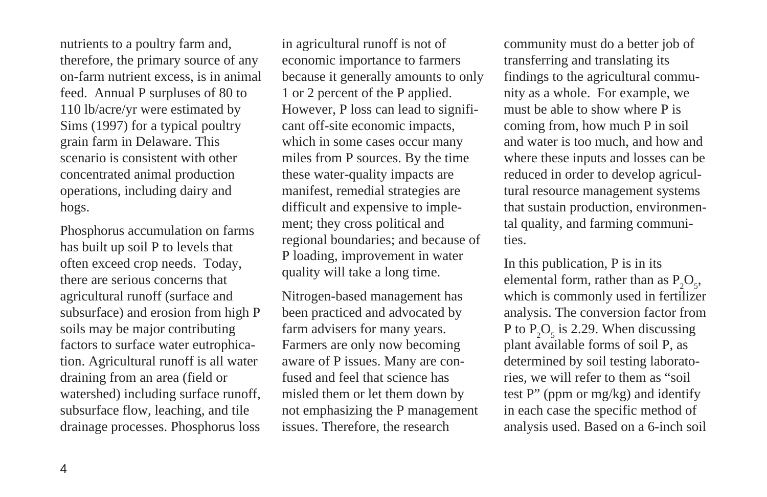nutrients to a poultry farm and, therefore, the primary source of any on-farm nutrient excess, is in animal feed. Annual P surpluses of 80 to 110 lb/acre/yr were estimated by Sims (1997) for a typical poultry grain farm in Delaware. This scenario is consistent with other concentrated animal production operations, including dairy and hogs.

Phosphorus accumulation on farms has built up soil P to levels that often exceed crop needs. Today, there are serious concerns that agricultural runoff (surface and subsurface) and erosion from high P soils may be major contributing factors to surface water eutrophication. Agricultural runoff is all water draining from an area (field or watershed) including surface runoff, subsurface flow, leaching, and tile drainage processes. Phosphorus loss

in agricultural runoff is not of economic importance to farmers because it generally amounts to only 1 or 2 percent of the P applied. However, P loss can lead to significant off-site economic impacts, which in some cases occur many miles from P sources. By the time these water-quality impacts are manifest, remedial strategies are difficult and expensive to implement; they cross political and regional boundaries; and because of P loading, improvement in water quality will take a long time.

Nitrogen-based management has been practiced and advocated by farm advisers for many years. Farmers are only now becoming aware of P issues. Many are confused and feel that science has misled them or let them down by not emphasizing the P management issues. Therefore, the research

community must do a better job of transferring and translating its findings to the agricultural community as a whole. For example, we must be able to show where P is coming from, how much P in soil and water is too much, and how and where these inputs and losses can be reduced in order to develop agricultural resource management systems that sustain production, environmental quality, and farming communities.

In this publication, P is in its elemental form, rather than as  $P_2O_5$ , which is commonly used in fertilizer analysis. The conversion factor from P to  $P_2O_5$  is 2.29. When discussing plant available forms of soil P, as determined by soil testing laboratories, we will refer to them as "soil test P" (ppm or mg/kg) and identify in each case the specific method of analysis used. Based on a 6-inch soil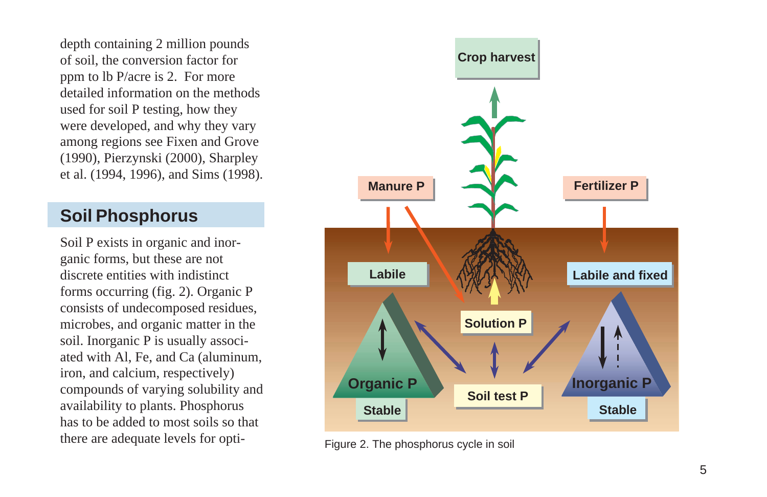depth containing 2 million pounds of soil, the conversion factor for ppm to lb P/acre is 2. For more detailed information on the methods used for soil P testing, how they were developed, and why they vary among regions see Fixen and Grove (1990), Pierzynski (2000), Sharpley et al. (1994, 1996), and Sims (1998).

# **Soil Phosphorus**

Soil P exists in organic and inorganic forms, but these are not discrete entities with indistinct forms occurring (fig. 2). Organic P consists of undecomposed residues, microbes, and organic matter in the soil. Inorganic P is usually associated with Al, Fe, and Ca (aluminum, iron, and calcium, respectively) compounds of varying solubility and availability to plants. Phosphorus has to be added to most soils so that there are adequate levels for opti-<br>Figure 2. The phosphorus cycle in soil

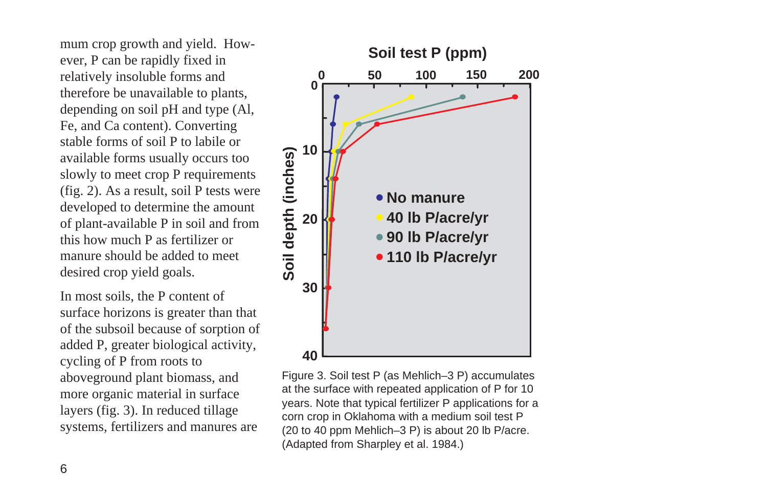mum crop growth and yield. However, P can be rapidly fixed in relatively insoluble forms and therefore be unavailable to plants, depending on soil pH and type (Al, Fe, and Ca content). Converting stable forms of soil P to labile or available forms usually occurs too slowly to meet crop P requirements (fig. 2). As a result, soil P tests were developed to determine the amount of plant-available P in soil and from this how much P as fertilizer or manure should be added to meet desired crop yield goals.

In most soils, the P content of surface horizons is greater than that of the subsoil because of sorption of added P, greater biological activity, cycling of P from roots to aboveground plant biomass, and more organic material in surface layers (fig. 3). In reduced tillage systems, fertilizers and manures are



Figure 3. Soil test P (as Mehlich–3 P) accumulates at the surface with repeated application of P for 10 years. Note that typical fertilizer P applications for a corn crop in Oklahoma with a medium soil test P (20 to 40 ppm Mehlich–3 P) is about 20 lb P/acre. (Adapted from Sharpley et al. 1984.)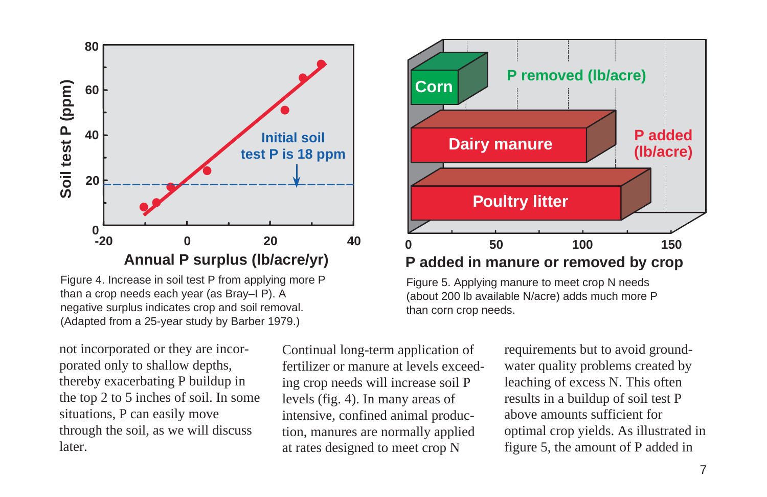

Figure 4. Increase in soil test P from applying more P than a crop needs each year (as Bray–I P). A negative surplus indicates crop and soil removal. (Adapted from a 25-year study by Barber 1979.)

not incorporated or they are incorporated only to shallow depths, thereby exacerbating P buildup in the top 2 to 5 inches of soil. In some situations, P can easily move through the soil, as we will discuss later.

Continual long-term application of fertilizer or manure at levels exceeding crop needs will increase soil P levels (fig. 4). In many areas of intensive, confined animal production, manures are normally applied at rates designed to meet crop N



## **P added in manure or removed by crop**

Figure 5. Applying manure to meet crop N needs (about 200 lb available N/acre) adds much more P than corn crop needs.

> requirements but to avoid groundwater quality problems created by leaching of excess N. This often results in a buildup of soil test P above amounts sufficient for optimal crop yields. As illustrated in figure 5, the amount of P added in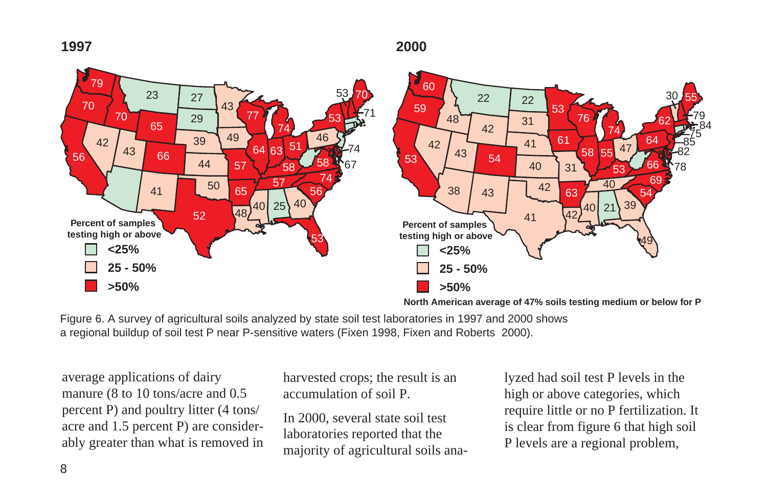

**North American average of 47% soils testing medium or below for P**

Figure 6. A survey of agricultural soils analyzed by state soil test laboratories in 1997 and 2000 shows a regional buildup of soil test P near P-sensitive waters (Fixen 1998, Fixen and Roberts 2000).

average applications of dairy manure (8 to 10 tons/acre and 0.5 percent P) and poultry litter (4 tons/ acre and 1.5 percent P) are considerably greater than what is removed in harvested crops; the result is an accumulation of soil P.

In 2000, several state soil test laboratories reported that the majority of agricultural soils analyzed had soil test P levels in the high or above categories, which require little or no P fertilization. It is clear from figure 6 that high soil P levels are a regional problem,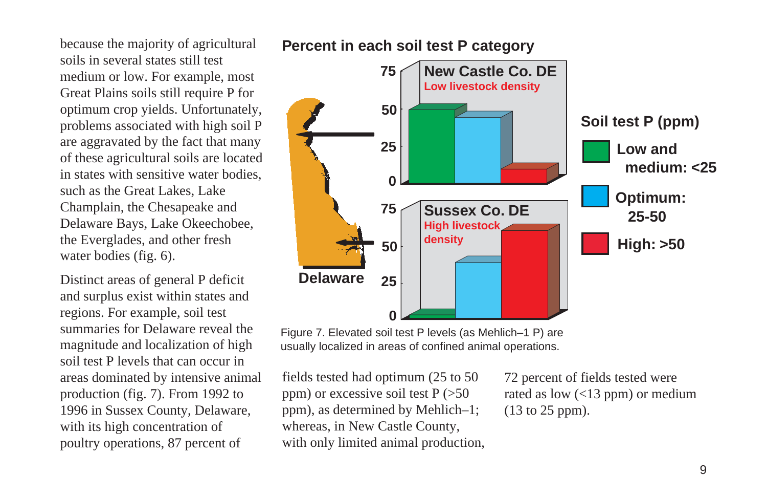because the majority of agricultural soils in several states still test medium or low. For example, most Great Plains soils still require P for optimum crop yields. Unfortunately, problems associated with high soil P are aggravated by the fact that many of these agricultural soils are located in states with sensitive water bodies, such as the Great Lakes, Lake Champlain, the Chesapeake and Delaware Bays, Lake Okeechobee, the Everglades, and other fresh water bodies (fig. 6).

Distinct areas of general P deficit and surplus exist within states and regions. For example, soil test summaries for Delaware reveal the magnitude and localization of high soil test P levels that can occur in areas dominated by intensive animal production (fig. 7). From 1992 to 1996 in Sussex County, Delaware, with its high concentration of poultry operations, 87 percent of

## **Percent in each soil test P category**



Figure 7. Elevated soil test P levels (as Mehlich–1 P) are usually localized in areas of confined animal operations.

fields tested had optimum (25 to 50 ppm) or excessive soil test  $P$  ( $>50$ ppm), as determined by Mehlich–1; whereas, in New Castle County, with only limited animal production, 72 percent of fields tested were rated as low (<13 ppm) or medium (13 to 25 ppm).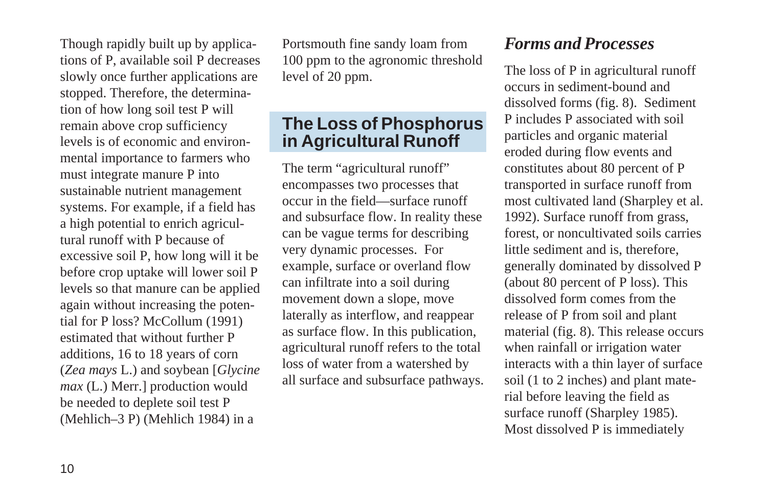Though rapidly built up by applications of P, available soil P decreases slowly once further applications are stopped. Therefore, the determination of how long soil test P will remain above crop sufficiency levels is of economic and environmental importance to farmers who must integrate manure P into sustainable nutrient management systems. For example, if a field has a high potential to enrich agricultural runoff with P because of excessive soil P, how long will it be before crop uptake will lower soil P levels so that manure can be applied again without increasing the potential for P loss? McCollum (1991) estimated that without further P additions, 16 to 18 years of corn (*Zea mays* L.) and soybean [*Glycine max* (L.) Merr.] production would be needed to deplete soil test P (Mehlich–3 P) (Mehlich 1984) in a

Portsmouth fine sandy loam from 100 ppm to the agronomic threshold level of 20 ppm.

# **The Loss of Phosphorus in Agricultural Runoff**

The term "agricultural runoff" encompasses two processes that occur in the field—surface runoff and subsurface flow. In reality these can be vague terms for describing very dynamic processes. For example, surface or overland flow can infiltrate into a soil during movement down a slope, move laterally as interflow, and reappear as surface flow. In this publication, agricultural runoff refers to the total loss of water from a watershed by all surface and subsurface pathways.

# *Forms and Processes*

The loss of P in agricultural runoff occurs in sediment-bound and dissolved forms (fig. 8). Sediment P includes P associated with soil particles and organic material eroded during flow events and constitutes about 80 percent of P transported in surface runoff from most cultivated land (Sharpley et al. 1992). Surface runoff from grass, forest, or noncultivated soils carries little sediment and is, therefore, generally dominated by dissolved P (about 80 percent of P loss). This dissolved form comes from the release of P from soil and plant material (fig. 8). This release occurs when rainfall or irrigation water interacts with a thin layer of surface soil (1 to 2 inches) and plant material before leaving the field as surface runoff (Sharpley 1985). Most dissolved P is immediately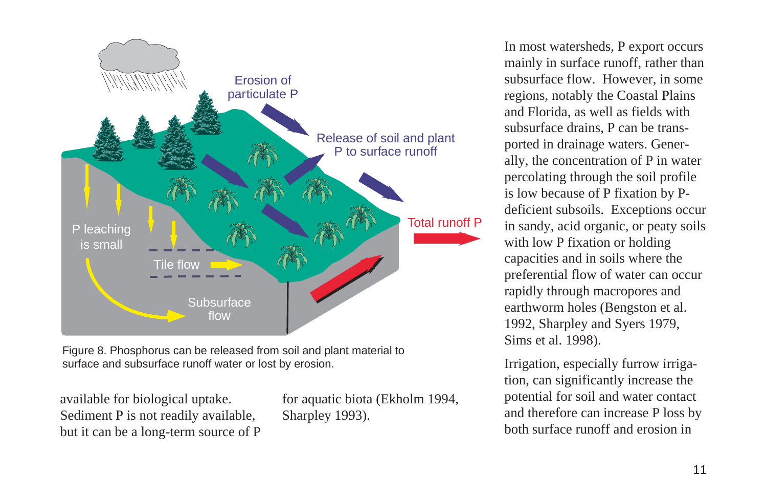

Figure 8. Phosphorus can be released from soil and plant material to surface and subsurface runoff water or lost by erosion.

available for biological uptake. Sediment P is not readily available, but it can be a long-term source of P for aquatic biota (Ekholm 1994, Sharpley 1993).

In most watersheds, P export occurs mainly in surface runoff, rather than subsurface flow. However, in some regions, notably the Coastal Plains and Florida, as well as fields with subsurface drains, P can be transported in drainage waters. Generally, the concentration of P in water percolating through the soil profile is low because of P fixation by Pdeficient subsoils. Exceptions occur in sandy, acid organic, or peaty soils with low P fixation or holding capacities and in soils where the preferential flow of water can occur rapidly through macropores and earthworm holes (Bengston et al. 1992, Sharpley and Syers 1979, Sims et al. 1998).

Irrigation, especially furrow irrigation, can significantly increase the potential for soil and water contact and therefore can increase P loss by both surface runoff and erosion in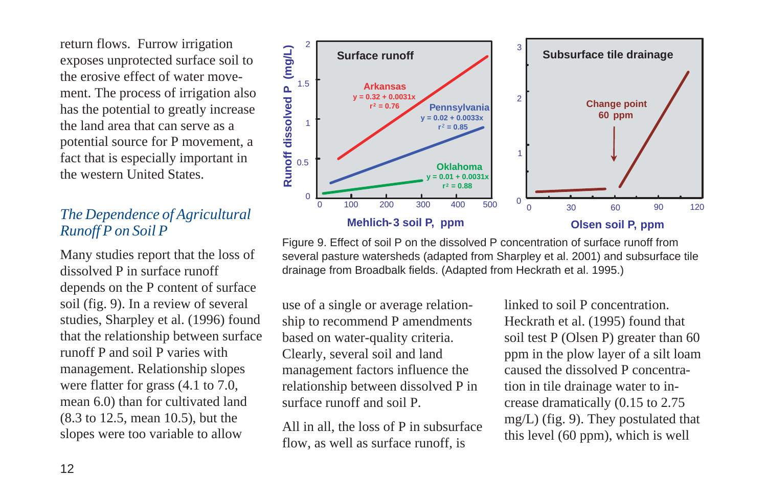return flows. Furrow irrigation exposes unprotected surface soil to the erosive effect of water movement. The process of irrigation also has the potential to greatly increase the land area that can serve as a potential source for P movement, a fact that is especially important in the western United States.

## *The Dependence of Agricultural Runoff P on Soil P*

Many studies report that the loss of dissolved P in surface runoff depends on the P content of surface soil (fig. 9). In a review of several studies, Sharpley et al. (1996) found that the relationship between surface runoff P and soil P varies with management. Relationship slopes were flatter for grass (4.1 to 7.0, mean 6.0) than for cultivated land (8.3 to 12.5, mean 10.5), but the slopes were too variable to allow



Figure 9. Effect of soil P on the dissolved P concentration of surface runoff from several pasture watersheds (adapted from Sharpley et al. 2001) and subsurface tile drainage from Broadbalk fields. (Adapted from Heckrath et al. 1995.)

use of a single or average relationship to recommend P amendments based on water-quality criteria. Clearly, several soil and land management factors influence the relationship between dissolved P in surface runoff and soil P.

All in all, the loss of P in subsurface flow, as well as surface runoff, is

linked to soil P concentration. Heckrath et al. (1995) found that soil test P (Olsen P) greater than 60 ppm in the plow layer of a silt loam caused the dissolved P concentration in tile drainage water to increase dramatically (0.15 to 2.75 mg/L) (fig. 9). They postulated that this level (60 ppm), which is well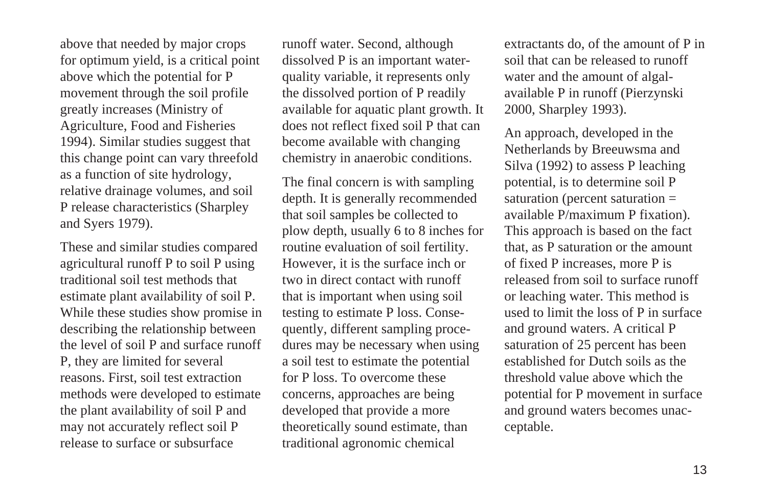above that needed by major crops for optimum yield, is a critical point above which the potential for P movement through the soil profile greatly increases (Ministry of Agriculture, Food and Fisheries 1994). Similar studies suggest that this change point can vary threefold as a function of site hydrology, relative drainage volumes, and soil P release characteristics (Sharpley and Syers 1979).

These and similar studies compared agricultural runoff P to soil P using traditional soil test methods that estimate plant availability of soil P. While these studies show promise in describing the relationship between the level of soil P and surface runoff P, they are limited for several reasons. First, soil test extraction methods were developed to estimate the plant availability of soil P and may not accurately reflect soil P release to surface or subsurface

runoff water. Second, although dissolved P is an important waterquality variable, it represents only the dissolved portion of P readily available for aquatic plant growth. It does not reflect fixed soil P that can become available with changing chemistry in anaerobic conditions.

The final concern is with sampling depth. It is generally recommended that soil samples be collected to plow depth, usually 6 to 8 inches for routine evaluation of soil fertility. However, it is the surface inch or two in direct contact with runoff that is important when using soil testing to estimate P loss. Consequently, different sampling procedures may be necessary when using a soil test to estimate the potential for P loss. To overcome these concerns, approaches are being developed that provide a more theoretically sound estimate, than traditional agronomic chemical

extractants do, of the amount of P in soil that can be released to runoff water and the amount of algalavailable P in runoff (Pierzynski 2000, Sharpley 1993).

An approach, developed in the Netherlands by Breeuwsma and Silva (1992) to assess P leaching potential, is to determine soil P saturation (percent saturation = available P/maximum P fixation). This approach is based on the fact that, as P saturation or the amount of fixed P increases, more P is released from soil to surface runoff or leaching water. This method is used to limit the loss of P in surface and ground waters. A critical P saturation of 25 percent has been established for Dutch soils as the threshold value above which the potential for P movement in surface and ground waters becomes unacceptable.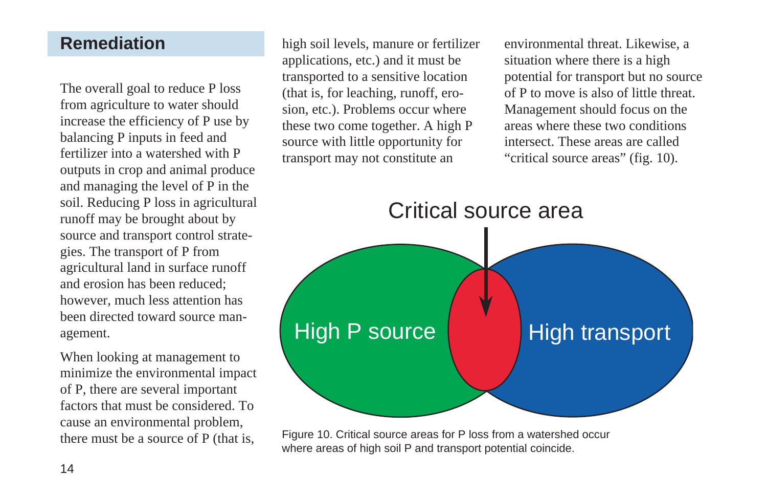# **Remediation**

The overall goal to reduce P loss from agriculture to water should increase the efficiency of P use by balancing P inputs in feed and fertilizer into a watershed with P outputs in crop and animal produce and managing the level of P in the soil. Reducing P loss in agricultural runoff may be brought about by source and transport control strategies. The transport of P from agricultural land in surface runoff and erosion has been reduced; however, much less attention has been directed toward source management.

When looking at management to minimize the environmental impact of P, there are several important factors that must be considered. To cause an environmental problem, there must be a source of P (that is,

high soil levels, manure or fertilizer applications, etc.) and it must be transported to a sensitive location (that is, for leaching, runoff, erosion, etc.). Problems occur where these two come together. A high P source with little opportunity for transport may not constitute an

environmental threat. Likewise, a situation where there is a high potential for transport but no source of P to move is also of little threat. Management should focus on the areas where these two conditions intersect. These areas are called "critical source areas" (fig. 10).



Figure 10. Critical source areas for P loss from a watershed occur where areas of high soil P and transport potential coincide.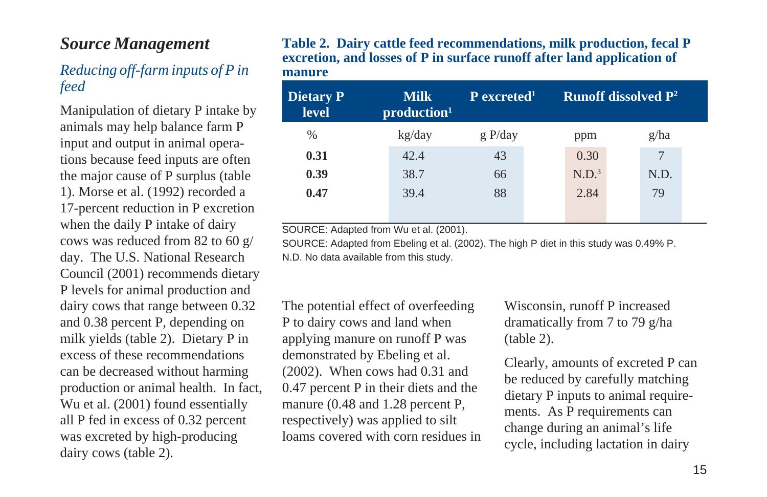# *Source Management*

## *Reducing off-farm inputs of P in feed*

Manipulation of dietary P intake by animals may help balance farm P input and output in animal operations because feed inputs are often the major cause of P surplus (table 1). Morse et al. (1992) recorded a 17-percent reduction in P excretion when the daily P intake of dairy cows was reduced from 82 to 60 g/ day. The U.S. National Research Council (2001) recommends dietary P levels for animal production and dairy cows that range between 0.32 and 0.38 percent P, depending on milk yields (table 2). Dietary P in excess of these recommendations can be decreased without harming production or animal health. In fact, Wu et al. (2001) found essentially all P fed in excess of 0.32 percent was excreted by high-producing dairy cows (table 2).

#### **Table 2. Dairy cattle feed recommendations, milk production, fecal P excretion, and losses of P in surface runoff after land application of manure**

| Dietary P<br><b>level</b> | <b>Milk</b><br>production <sup>1</sup> | P excreted <sup>1</sup> |                   | <b>Runoff dissolved <math>P^2</math></b> |  |
|---------------------------|----------------------------------------|-------------------------|-------------------|------------------------------------------|--|
| $\%$                      | kg/day                                 | g P/day                 | ppm               | g/ha                                     |  |
| 0.31                      | 42.4                                   | 43                      | 0.30              |                                          |  |
| 0.39                      | 38.7                                   | 66                      | N.D. <sup>3</sup> | N.D.                                     |  |
| 0.47                      | 39.4                                   | 88                      | 2.84              | 79                                       |  |
|                           |                                        |                         |                   |                                          |  |

SOURCE: Adapted from Wu et al. (2001).

SOURCE: Adapted from Ebeling et al. (2002). The high P diet in this study was 0.49% P. N.D. No data available from this study.

The potential effect of overfeeding P to dairy cows and land when applying manure on runoff P was demonstrated by Ebeling et al. (2002). When cows had 0.31 and 0.47 percent P in their diets and the manure (0.48 and 1.28 percent P, respectively) was applied to silt loams covered with corn residues in Wisconsin, runoff P increased dramatically from 7 to 79 g/ha (table 2).

Clearly, amounts of excreted P can be reduced by carefully matching dietary P inputs to animal requirements. As P requirements can change during an animal's life cycle, including lactation in dairy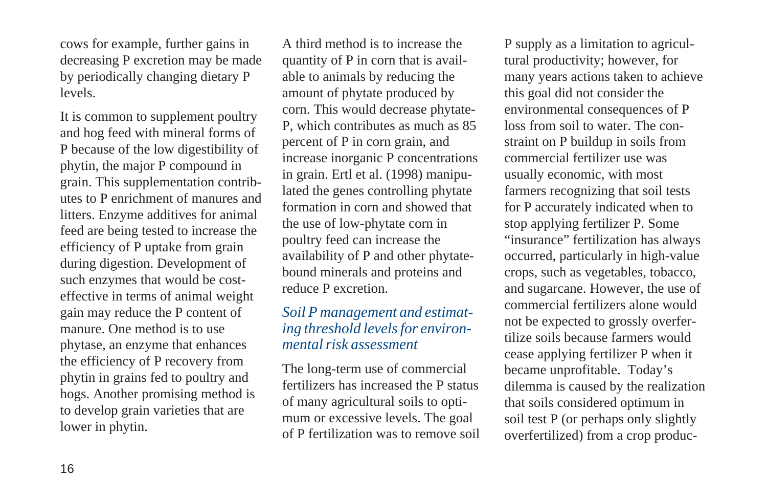cows for example, further gains in decreasing P excretion may be made by periodically changing dietary P levels.

It is common to supplement poultry and hog feed with mineral forms of P because of the low digestibility of phytin, the major P compound in grain. This supplementation contributes to P enrichment of manures and litters. Enzyme additives for animal feed are being tested to increase the efficiency of P uptake from grain during digestion. Development of such enzymes that would be costeffective in terms of animal weight gain may reduce the P content of manure. One method is to use phytase, an enzyme that enhances the efficiency of P recovery from phytin in grains fed to poultry and hogs. Another promising method is to develop grain varieties that are lower in phytin.

A third method is to increase the quantity of P in corn that is available to animals by reducing the amount of phytate produced by corn. This would decrease phytate-P, which contributes as much as 85 percent of P in corn grain, and increase inorganic P concentrations in grain. Ertl et al. (1998) manipulated the genes controlling phytate formation in corn and showed that the use of low-phytate corn in poultry feed can increase the availability of P and other phytatebound minerals and proteins and reduce P excretion.

## *Soil P management and estimating threshold levels for environmental risk assessment*

The long-term use of commercial fertilizers has increased the P status of many agricultural soils to optimum or excessive levels. The goal of P fertilization was to remove soil P supply as a limitation to agricultural productivity; however, for many years actions taken to achieve this goal did not consider the environmental consequences of P loss from soil to water. The constraint on P buildup in soils from commercial fertilizer use was usually economic, with most farmers recognizing that soil tests for P accurately indicated when to stop applying fertilizer P. Some "insurance" fertilization has always occurred, particularly in high-value crops, such as vegetables, tobacco, and sugarcane. However, the use of commercial fertilizers alone would not be expected to grossly overfertilize soils because farmers would cease applying fertilizer P when it became unprofitable. Today's dilemma is caused by the realization that soils considered optimum in soil test P (or perhaps only slightly overfertilized) from a crop produc-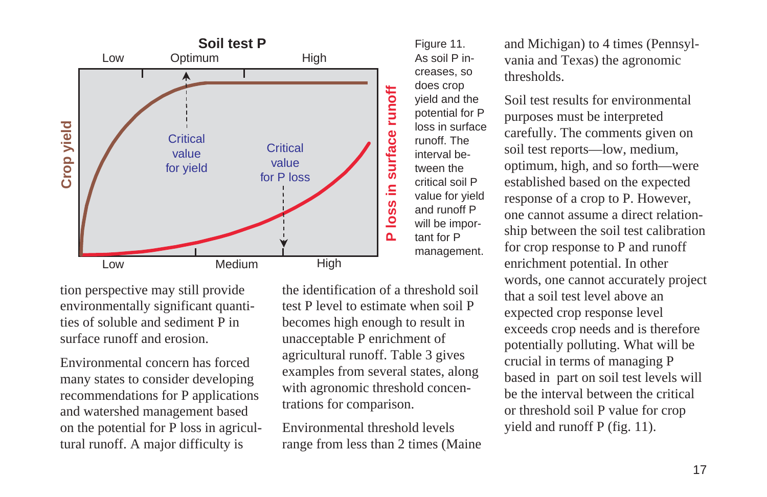

tion perspective may still provide environmentally significant quantities of soluble and sediment P in surface runoff and erosion.

Environmental concern has forced many states to consider developing recommendations for P applications and watershed management based on the potential for P loss in agricultural runoff. A major difficulty is

the identification of a threshold soil test P level to estimate when soil P becomes high enough to result in unacceptable P enrichment of agricultural runoff. Table 3 gives examples from several states, along with agronomic threshold concentrations for comparison.

Environmental threshold levels range from less than 2 times (Maine and Michigan) to 4 times (Pennsylvania and Texas) the agronomic thresholds.

Soil test results for environmental purposes must be interpreted carefully. The comments given on soil test reports—low, medium, optimum, high, and so forth—were established based on the expected response of a crop to P. However, one cannot assume a direct relationship between the soil test calibration for crop response to P and runoff enrichment potential. In other words, one cannot accurately project that a soil test level above an expected crop response level exceeds crop needs and is therefore potentially polluting. What will be crucial in terms of managing P based in part on soil test levels will be the interval between the critical or threshold soil P value for crop yield and runoff P (fig. 11).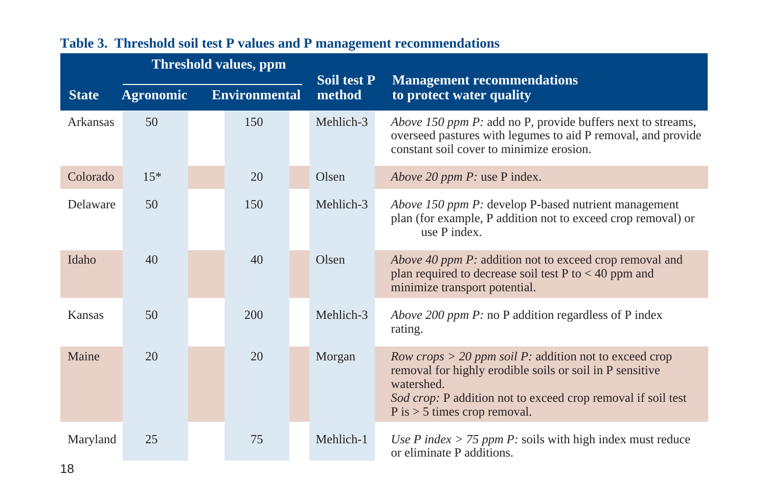|              | <b>Threshold values, ppm</b> |                      | Soil test P | <b>Management recommendations</b>                                                                                                                                                                                                                     |
|--------------|------------------------------|----------------------|-------------|-------------------------------------------------------------------------------------------------------------------------------------------------------------------------------------------------------------------------------------------------------|
| <b>State</b> | <b>Agronomic</b>             | <b>Environmental</b> | method      | to protect water quality                                                                                                                                                                                                                              |
| Arkansas     | 50                           | 150                  | Mehlich-3   | Above 150 ppm P: add no P, provide buffers next to streams,<br>overseed pastures with legumes to aid P removal, and provide<br>constant soil cover to minimize erosion.                                                                               |
| Colorado     | $15*$                        | 20                   | Olsen       | Above 20 ppm P: use P index.                                                                                                                                                                                                                          |
| Delaware     | 50                           | 150                  | Mehlich-3   | Above 150 ppm P: develop P-based nutrient management<br>plan (for example, P addition not to exceed crop removal) or<br>use P index.                                                                                                                  |
| Idaho        | 40                           | 40                   | Olsen       | Above 40 ppm P: addition not to exceed crop removal and<br>plan required to decrease soil test $P$ to $<$ 40 ppm and<br>minimize transport potential.                                                                                                 |
| Kansas       | 50                           | 200                  | Mehlich-3   | Above 200 ppm P: no P addition regardless of P index<br>rating.                                                                                                                                                                                       |
| Maine        | 20                           | 20                   | Morgan      | <i>Row crops</i> $>$ 20 <i>ppm soil P</i> : addition not to exceed crop<br>removal for highly erodible soils or soil in P sensitive<br>watershed.<br>Sod crop: P addition not to exceed crop removal if soil test<br>$P$ is $>$ 5 times crop removal. |
| Maryland     | 25                           | 75                   | Mehlich-1   | Use P index > 75 ppm P: soils with high index must reduce<br>or eliminate P additions.                                                                                                                                                                |

# **Table 3. Threshold soil test P values and P management recommendations**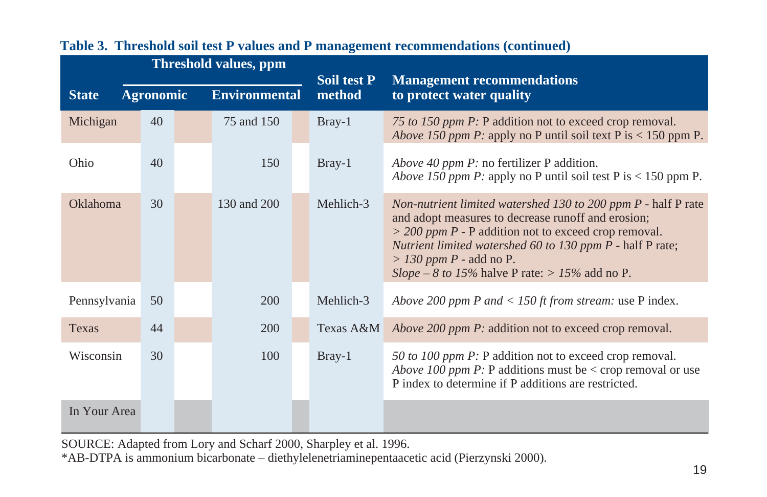|              | <b>Threshold values, ppm</b> |  |                      |  |                              |                                                                                                                                                                                                                                                                                                                           |
|--------------|------------------------------|--|----------------------|--|------------------------------|---------------------------------------------------------------------------------------------------------------------------------------------------------------------------------------------------------------------------------------------------------------------------------------------------------------------------|
| <b>State</b> | <b>Agronomic</b>             |  | <b>Environmental</b> |  | <b>Soil test P</b><br>method | <b>Management recommendations</b><br>to protect water quality                                                                                                                                                                                                                                                             |
| Michigan     | 40                           |  | 75 and 150           |  | $Bray-1$                     | 75 to 150 ppm P: P addition not to exceed crop removal.<br><i>Above 150 ppm P:</i> apply no P until soil text P is $<$ 150 ppm P.                                                                                                                                                                                         |
| Ohio         | 40                           |  | 150                  |  | $Bray-1$                     | <i>Above 40 ppm P:</i> no fertilizer P addition.<br><i>Above 150 ppm P:</i> apply no P until soil test P is $<$ 150 ppm P.                                                                                                                                                                                                |
| Oklahoma     | 30                           |  | 130 and 200          |  | Mehlich-3                    | Non-nutrient limited watershed 130 to 200 ppm P - half P rate<br>and adopt measures to decrease runoff and erosion;<br>$>$ 200 ppm P - P addition not to exceed crop removal.<br>Nutrient limited watershed 60 to 130 ppm P - half P rate;<br>$> 130$ ppm P - add no P.<br>Slope – 8 to 15% halve P rate: > 15% add no P. |
| Pennsylvania | 50                           |  | 200                  |  | Mehlich-3                    | Above 200 ppm P and < 150 ft from stream: use P index.                                                                                                                                                                                                                                                                    |
| <b>Texas</b> | 44                           |  | 200                  |  |                              | Texas A&M Above 200 ppm P: addition not to exceed crop removal.                                                                                                                                                                                                                                                           |
| Wisconsin    | 30                           |  | 100                  |  | Bray-1                       | 50 to 100 ppm P: P addition not to exceed crop removal.<br><i>Above 100 ppm P</i> : P additions must be $\lt$ crop removal or use<br>P index to determine if P additions are restricted.                                                                                                                                  |
| In Your Area |                              |  |                      |  |                              |                                                                                                                                                                                                                                                                                                                           |

#### **Table 3. Threshold soil test P values and P management recommendations (continued)**

SOURCE: Adapted from Lory and Scharf 2000, Sharpley et al. 1996.

\*AB-DTPA is ammonium bicarbonate – diethylelenetriaminepentaacetic acid (Pierzynski 2000).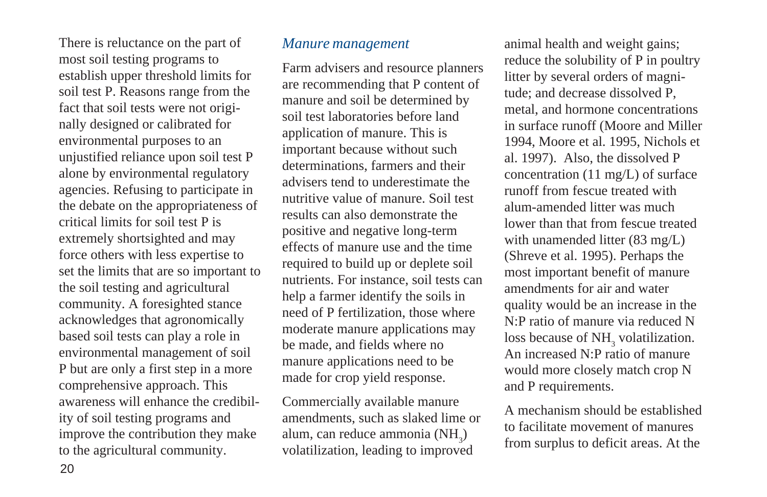There is reluctance on the part of most soil testing programs to establish upper threshold limits for soil test P. Reasons range from the fact that soil tests were not originally designed or calibrated for environmental purposes to an unjustified reliance upon soil test P alone by environmental regulatory agencies. Refusing to participate in the debate on the appropriateness of critical limits for soil test P is extremely shortsighted and may force others with less expertise to set the limits that are so important to the soil testing and agricultural community. A foresighted stance acknowledges that agronomically based soil tests can play a role in environmental management of soil P but are only a first step in a more comprehensive approach. This awareness will enhance the credibility of soil testing programs and improve the contribution they make to the agricultural community.

#### *Manure management*

Farm advisers and resource planners are recommending that P content of manure and soil be determined by soil test laboratories before land application of manure. This is important because without such determinations, farmers and their advisers tend to underestimate the nutritive value of manure. Soil test results can also demonstrate the positive and negative long-term effects of manure use and the time required to build up or deplete soil nutrients. For instance, soil tests can help a farmer identify the soils in need of P fertilization, those where moderate manure applications may be made, and fields where no manure applications need to be made for crop yield response.

Commercially available manure amendments, such as slaked lime or alum, can reduce ammonia  $(NH_3)$ volatilization, leading to improved

animal health and weight gains; reduce the solubility of P in poultry litter by several orders of magnitude; and decrease dissolved P, metal, and hormone concentrations in surface runoff (Moore and Miller 1994, Moore et al. 1995, Nichols et al. 1997). Also, the dissolved P concentration (11 mg/L) of surface runoff from fescue treated with alum-amended litter was much lower than that from fescue treated with unamended litter (83 mg/L) (Shreve et al. 1995). Perhaps the most important benefit of manure amendments for air and water quality would be an increase in the N:P ratio of manure via reduced N loss because of  $NH<sub>3</sub>$  volatilization. An increased N:P ratio of manure would more closely match crop N and P requirements.

A mechanism should be established to facilitate movement of manures from surplus to deficit areas. At the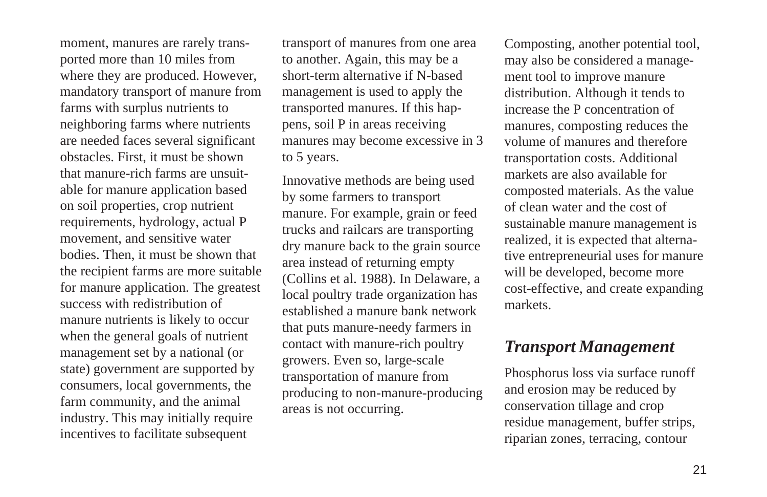moment, manures are rarely transported more than 10 miles from where they are produced. However, mandatory transport of manure from farms with surplus nutrients to neighboring farms where nutrients are needed faces several significant obstacles. First, it must be shown that manure-rich farms are unsuitable for manure application based on soil properties, crop nutrient requirements, hydrology, actual P movement, and sensitive water bodies. Then, it must be shown that the recipient farms are more suitable for manure application. The greatest success with redistribution of manure nutrients is likely to occur when the general goals of nutrient management set by a national (or state) government are supported by consumers, local governments, the farm community, and the animal industry. This may initially require incentives to facilitate subsequent

transport of manures from one area to another. Again, this may be a short-term alternative if N-based management is used to apply the transported manures. If this happens, soil P in areas receiving manures may become excessive in 3 to 5 years.

Innovative methods are being used by some farmers to transport manure. For example, grain or feed trucks and railcars are transporting dry manure back to the grain source area instead of returning empty (Collins et al. 1988). In Delaware, a local poultry trade organization has established a manure bank network that puts manure-needy farmers in contact with manure-rich poultry growers. Even so, large-scale transportation of manure from producing to non-manure-producing areas is not occurring.

Composting, another potential tool, may also be considered a management tool to improve manure distribution. Although it tends to increase the P concentration of manures, composting reduces the volume of manures and therefore transportation costs. Additional markets are also available for composted materials. As the value of clean water and the cost of sustainable manure management is realized, it is expected that alternative entrepreneurial uses for manure will be developed, become more cost-effective, and create expanding markets.

## *Transport Management*

Phosphorus loss via surface runoff and erosion may be reduced by conservation tillage and crop residue management, buffer strips, riparian zones, terracing, contour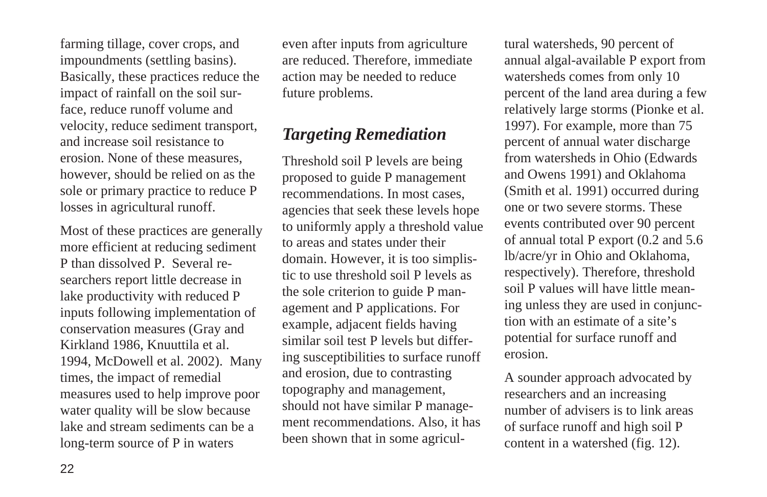farming tillage, cover crops, and impoundments (settling basins). Basically, these practices reduce the impact of rainfall on the soil surface, reduce runoff volume and velocity, reduce sediment transport, and increase soil resistance to erosion. None of these measures, however, should be relied on as the sole or primary practice to reduce P losses in agricultural runoff.

Most of these practices are generally more efficient at reducing sediment P than dissolved P. Several researchers report little decrease in lake productivity with reduced P inputs following implementation of conservation measures (Gray and Kirkland 1986, Knuuttila et al. 1994, McDowell et al. 2002). Many times, the impact of remedial measures used to help improve poor water quality will be slow because lake and stream sediments can be a long-term source of P in waters

even after inputs from agriculture are reduced. Therefore, immediate action may be needed to reduce future problems.

# *Targeting Remediation*

Threshold soil P levels are being proposed to guide P management recommendations. In most cases, agencies that seek these levels hope to uniformly apply a threshold value to areas and states under their domain. However, it is too simplistic to use threshold soil P levels as the sole criterion to guide P management and P applications. For example, adjacent fields having similar soil test P levels but differing susceptibilities to surface runoff and erosion, due to contrasting topography and management, should not have similar P management recommendations. Also, it has been shown that in some agricultural watersheds, 90 percent of annual algal-available P export from watersheds comes from only 10 percent of the land area during a few relatively large storms (Pionke et al. 1997). For example, more than 75 percent of annual water discharge from watersheds in Ohio (Edwards and Owens 1991) and Oklahoma (Smith et al. 1991) occurred during one or two severe storms. These events contributed over 90 percent of annual total P export (0.2 and 5.6 lb/acre/yr in Ohio and Oklahoma, respectively). Therefore, threshold soil P values will have little meaning unless they are used in conjunction with an estimate of a site's potential for surface runoff and erosion.

A sounder approach advocated by researchers and an increasing number of advisers is to link areas of surface runoff and high soil P content in a watershed (fig. 12).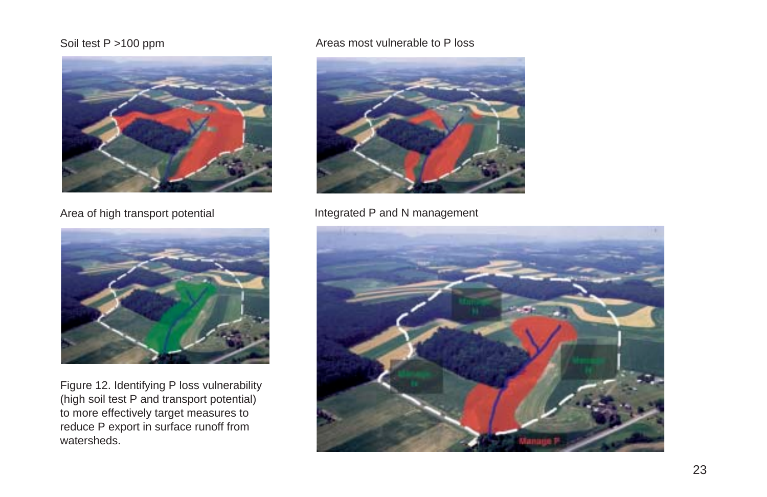#### Soil test P >100 ppm



Area of high transport potential



Figure 12. Identifying P loss vulnerability (high soil test P and transport potential) to more effectively target measures to reduce P export in surface runoff from watersheds.

#### Areas most vulnerable to P loss



Integrated P and N management

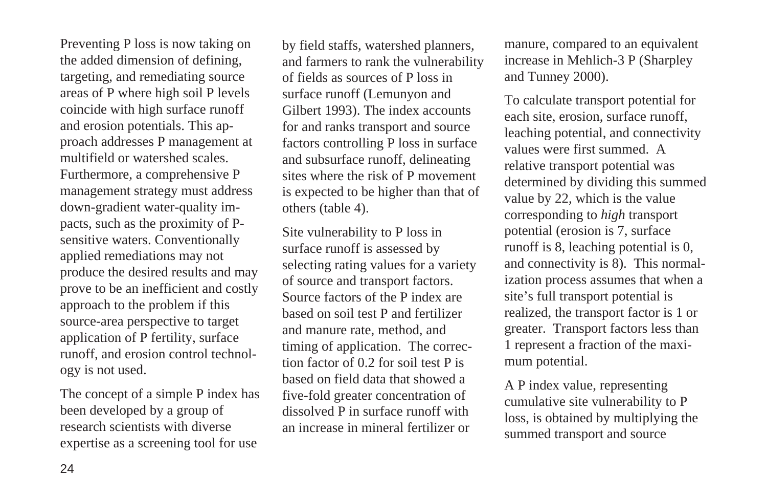Preventing P loss is now taking on the added dimension of defining, targeting, and remediating source areas of P where high soil P levels coincide with high surface runoff and erosion potentials. This approach addresses P management at multifield or watershed scales. Furthermore, a comprehensive P management strategy must address down-gradient water-quality impacts, such as the proximity of Psensitive waters. Conventionally applied remediations may not produce the desired results and may prove to be an inefficient and costly approach to the problem if this source-area perspective to target application of P fertility, surface runoff, and erosion control technology is not used.

The concept of a simple P index has been developed by a group of research scientists with diverse expertise as a screening tool for use

by field staffs, watershed planners, and farmers to rank the vulnerability of fields as sources of P loss in surface runoff (Lemunyon and Gilbert 1993). The index accounts for and ranks transport and source factors controlling P loss in surface and subsurface runoff, delineating sites where the risk of P movement is expected to be higher than that of others (table 4).

Site vulnerability to P loss in surface runoff is assessed by selecting rating values for a variety of source and transport factors. Source factors of the P index are based on soil test P and fertilizer and manure rate, method, and timing of application. The correction factor of 0.2 for soil test P is based on field data that showed a five-fold greater concentration of dissolved P in surface runoff with an increase in mineral fertilizer or

manure, compared to an equivalent increase in Mehlich-3 P (Sharpley and Tunney 2000).

To calculate transport potential for each site, erosion, surface runoff, leaching potential, and connectivity values were first summed. A relative transport potential was determined by dividing this summed value by 22, which is the value corresponding to *high* transport potential (erosion is 7, surface runoff is 8, leaching potential is 0, and connectivity is 8). This normalization process assumes that when a site's full transport potential is realized, the transport factor is 1 or greater. Transport factors less than 1 represent a fraction of the maximum potential.

A P index value, representing cumulative site vulnerability to P loss, is obtained by multiplying the summed transport and source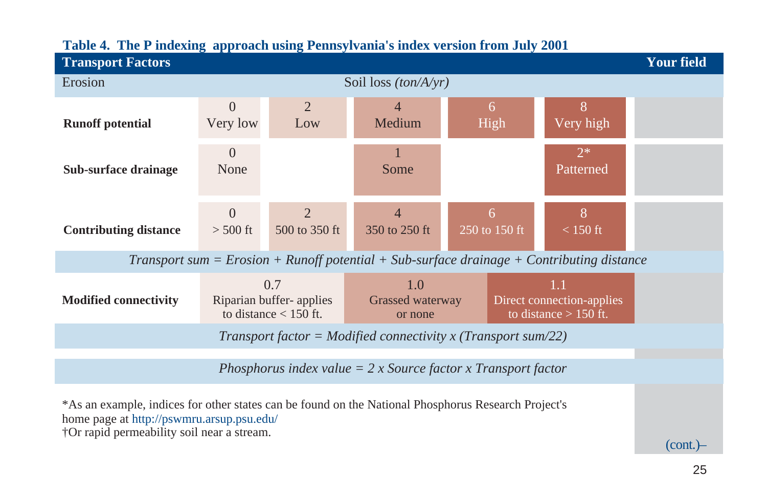| <b>Transport Factors</b>                                                                                                                                                                       |                                                                 |  |                                                               |                    |  |                                                                                           | <b>Your field</b> |
|------------------------------------------------------------------------------------------------------------------------------------------------------------------------------------------------|-----------------------------------------------------------------|--|---------------------------------------------------------------|--------------------|--|-------------------------------------------------------------------------------------------|-------------------|
| Erosion                                                                                                                                                                                        |                                                                 |  | Soil loss $(ton/A/yr)$                                        |                    |  |                                                                                           |                   |
| <b>Runoff potential</b>                                                                                                                                                                        | $\overline{2}$<br>$\overline{0}$<br>Very low<br>Low             |  | 4<br>Medium                                                   | 6<br>High          |  | 8<br>Very high                                                                            |                   |
| Sub-surface drainage                                                                                                                                                                           | $\theta$<br>None                                                |  | 1<br>Some                                                     |                    |  | $2*$<br>Patterned                                                                         |                   |
| <b>Contributing distance</b>                                                                                                                                                                   | $\overline{2}$<br>$\overline{0}$<br>$>$ 500 ft<br>500 to 350 ft |  | $\overline{4}$<br>350 to 250 ft                               | 6<br>250 to 150 ft |  | 8<br>$< 150$ ft                                                                           |                   |
|                                                                                                                                                                                                |                                                                 |  |                                                               |                    |  | Transport sum = Erosion + Runoff potential + Sub-surface drainage + Contributing distance |                   |
| <b>Modified connectivity</b>                                                                                                                                                                   | 0.7<br>Riparian buffer-applies<br>to distance $<$ 150 ft.       |  | 1.0<br>Grassed waterway<br>or none                            |                    |  | 1.1<br>Direct connection-applies<br>to distance $> 150$ ft.                               |                   |
|                                                                                                                                                                                                |                                                                 |  | Transport factor = Modified connectivity x (Transport sum/22) |                    |  |                                                                                           |                   |
| Phosphorus index value $= 2 x$ Source factor x Transport factor                                                                                                                                |                                                                 |  |                                                               |                    |  |                                                                                           |                   |
| *As an example, indices for other states can be found on the National Phosphorus Research Project's<br>home page at http://pswmru.arsup.psu.edu/<br>†Or rapid permeability soil near a stream. |                                                                 |  |                                                               |                    |  |                                                                                           | $(cont.)-$        |

## **Table 4. The P indexing approach using Pennsylvania's index version from July 2001**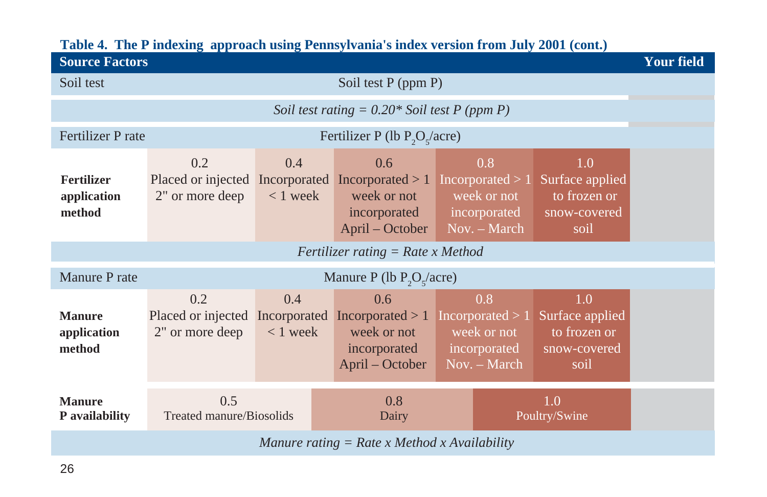| <b>Source Factors</b>                          |                                                                              |                   |                                                       |  |                                                                            |                                                                | <b>Your field</b> |  |  |  |
|------------------------------------------------|------------------------------------------------------------------------------|-------------------|-------------------------------------------------------|--|----------------------------------------------------------------------------|----------------------------------------------------------------|-------------------|--|--|--|
| Soil test                                      | Soil test P (ppm P)                                                          |                   |                                                       |  |                                                                            |                                                                |                   |  |  |  |
| Soil test rating = $0.20*$ Soil test P (ppm P) |                                                                              |                   |                                                       |  |                                                                            |                                                                |                   |  |  |  |
| Fertilizer P rate                              |                                                                              |                   | Fertilizer P (lb $P_2O_5/(\text{acre})$               |  |                                                                            |                                                                |                   |  |  |  |
| <b>Fertilizer</b><br>application<br>method     | 0.2<br>Placed or injected Incorporated Incorporated $> 1$<br>2" or more deep | 0.4<br>$< 1$ week | 0.6<br>week or not<br>incorporated<br>April – October |  | 0.8<br>Incorporated $>1$<br>week or not<br>incorporated<br>Nov. – March    | 1.0<br>Surface applied<br>to frozen or<br>snow-covered<br>soil |                   |  |  |  |
|                                                |                                                                              |                   | Fertilizer rating $=$ Rate x Method                   |  |                                                                            |                                                                |                   |  |  |  |
| Manure P rate                                  |                                                                              |                   | Manure P (lb $P_2O_5/(\text{acre})$                   |  |                                                                            |                                                                |                   |  |  |  |
| <b>Manure</b><br>application<br>method         | 0.2<br>Placed or injected Incorporated Incorporated $> 1$<br>2" or more deep | 0.4<br>$< 1$ week | 0.6<br>week or not<br>incorporated<br>April – October |  | 0.8<br>Incorporated $> 1$<br>week or not<br>incorporated<br>$Nov. - March$ | 1.0<br>Surface applied<br>to frozen or<br>snow-covered<br>soil |                   |  |  |  |
| <b>Manure</b><br>P availability                | 0.5<br>Treated manure/Biosolids                                              |                   | 0.8<br>1.0<br>Poultry/Swine<br>Dairy                  |  |                                                                            |                                                                |                   |  |  |  |
| Manure rating $=$ Rate x Method x Availability |                                                                              |                   |                                                       |  |                                                                            |                                                                |                   |  |  |  |

## **Table 4. The P indexing approach using Pennsylvania's index version from July 2001 (cont.)**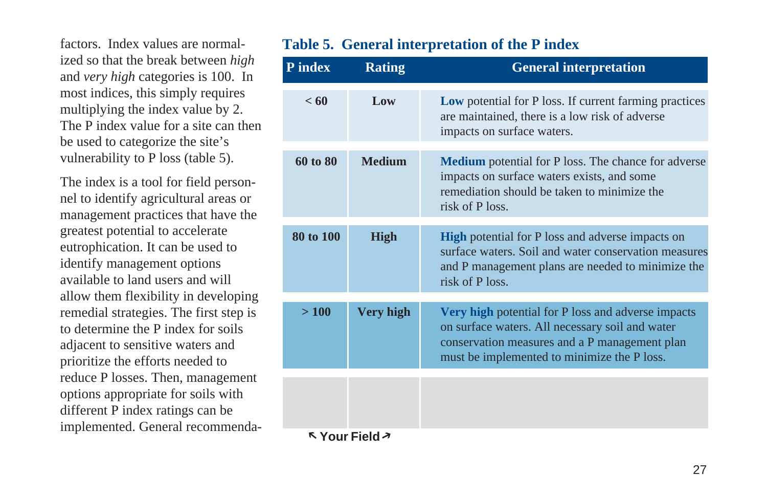factors. Index values are normalized so that the break between *high* and *very high* categories is 100. In most indices, this simply requires multiplying the index value by 2. The P index value for a site can then be used to categorize the site's vulnerability to P loss (table 5).

The index is a tool for field personnel to identify agricultural areas or management practices that have the greatest potential to accelerate eutrophication. It can be used to identify management options available to land users and will allow them flexibility in developing remedial strategies. The first step is to determine the P index for soils adjacent to sensitive waters and prioritize the efforts needed to reduce P losses. Then, management options appropriate for soils with different P index ratings can be implemented. General recommenda-

## **Table 5. General interpretation of the P index**

| P index   | <b>Rating</b>    | <b>General interpretation</b>                                                                                                                                                                         |
|-----------|------------------|-------------------------------------------------------------------------------------------------------------------------------------------------------------------------------------------------------|
| < 60      | Low              | <b>Low</b> potential for P loss. If current farming practices<br>are maintained, there is a low risk of adverse<br>impacts on surface waters.                                                         |
| 60 to 80  | <b>Medium</b>    | <b>Medium</b> potential for P loss. The chance for adverse<br>impacts on surface waters exists, and some<br>remediation should be taken to minimize the<br>risk of P loss.                            |
| 80 to 100 | <b>High</b>      | <b>High</b> potential for P loss and adverse impacts on<br>surface waters. Soil and water conservation measures<br>and P management plans are needed to minimize the<br>risk of P loss.               |
| >100      | <b>Very high</b> | Very high potential for P loss and adverse impacts<br>on surface waters. All necessary soil and water<br>conservation measures and a P management plan<br>must be implemented to minimize the P loss. |
|           |                  |                                                                                                                                                                                                       |
|           | K Your Field ×   |                                                                                                                                                                                                       |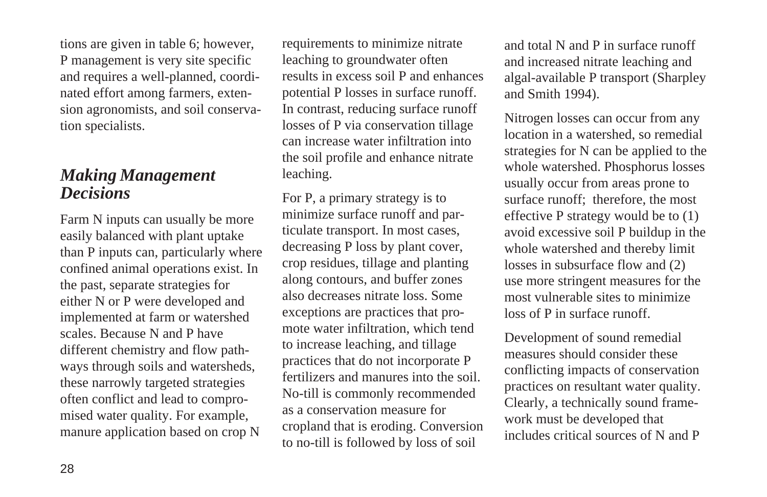tions are given in table 6; however, P management is very site specific and requires a well-planned, coordinated effort among farmers, extension agronomists, and soil conservation specialists.

## *Making Management Decisions*

Farm N inputs can usually be more easily balanced with plant uptake than P inputs can, particularly where confined animal operations exist. In the past, separate strategies for either N or P were developed and implemented at farm or watershed scales. Because N and P have different chemistry and flow pathways through soils and watersheds, these narrowly targeted strategies often conflict and lead to compromised water quality. For example, manure application based on crop N

requirements to minimize nitrate leaching to groundwater often results in excess soil P and enhances potential P losses in surface runoff. In contrast, reducing surface runoff losses of P via conservation tillage can increase water infiltration into the soil profile and enhance nitrate leaching.

For P, a primary strategy is to minimize surface runoff and particulate transport. In most cases, decreasing P loss by plant cover, crop residues, tillage and planting along contours, and buffer zones also decreases nitrate loss. Some exceptions are practices that promote water infiltration, which tend to increase leaching, and tillage practices that do not incorporate P fertilizers and manures into the soil. No-till is commonly recommended as a conservation measure for cropland that is eroding. Conversion to no-till is followed by loss of soil

and total N and P in surface runoff and increased nitrate leaching and algal-available P transport (Sharpley and Smith 1994).

Nitrogen losses can occur from any location in a watershed, so remedial strategies for N can be applied to the whole watershed. Phosphorus losses usually occur from areas prone to surface runoff; therefore, the most effective P strategy would be to (1) avoid excessive soil P buildup in the whole watershed and thereby limit losses in subsurface flow and (2) use more stringent measures for the most vulnerable sites to minimize loss of P in surface runoff.

Development of sound remedial measures should consider these conflicting impacts of conservation practices on resultant water quality. Clearly, a technically sound framework must be developed that includes critical sources of N and P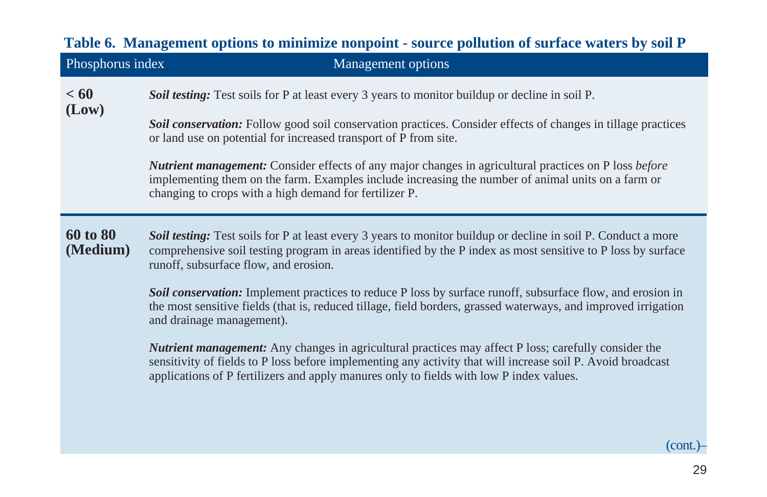|                      | Table 6. Management options to minimize nonpoint - source pollution of surface waters by soil P                                                                                                                                                                                                                                                                                      |
|----------------------|--------------------------------------------------------------------------------------------------------------------------------------------------------------------------------------------------------------------------------------------------------------------------------------------------------------------------------------------------------------------------------------|
| Phosphorus index     | Management options                                                                                                                                                                                                                                                                                                                                                                   |
| < 60<br>(Low)        | Soil testing: Test soils for P at least every 3 years to monitor buildup or decline in soil P.<br>Soil conservation: Follow good soil conservation practices. Consider effects of changes in tillage practices<br>or land use on potential for increased transport of P from site.                                                                                                   |
|                      | <b>Nutrient management:</b> Consider effects of any major changes in agricultural practices on P loss before<br>implementing them on the farm. Examples include increasing the number of animal units on a farm or<br>changing to crops with a high demand for fertilizer P.                                                                                                         |
| 60 to 80<br>(Medium) | Soil testing: Test soils for P at least every 3 years to monitor buildup or decline in soil P. Conduct a more<br>comprehensive soil testing program in areas identified by the P index as most sensitive to P loss by surface<br>runoff, subsurface flow, and erosion.<br>Soil conservation: Implement practices to reduce P loss by surface runoff, subsurface flow, and erosion in |
|                      | the most sensitive fields (that is, reduced tillage, field borders, grassed waterways, and improved irrigation<br>and drainage management).                                                                                                                                                                                                                                          |
|                      | <b>Nutrient management:</b> Any changes in agricultural practices may affect P loss; carefully consider the<br>sensitivity of fields to P loss before implementing any activity that will increase soil P. Avoid broadcast<br>applications of P fertilizers and apply manures only to fields with low P index values.                                                                |
|                      | $(cont.)-$                                                                                                                                                                                                                                                                                                                                                                           |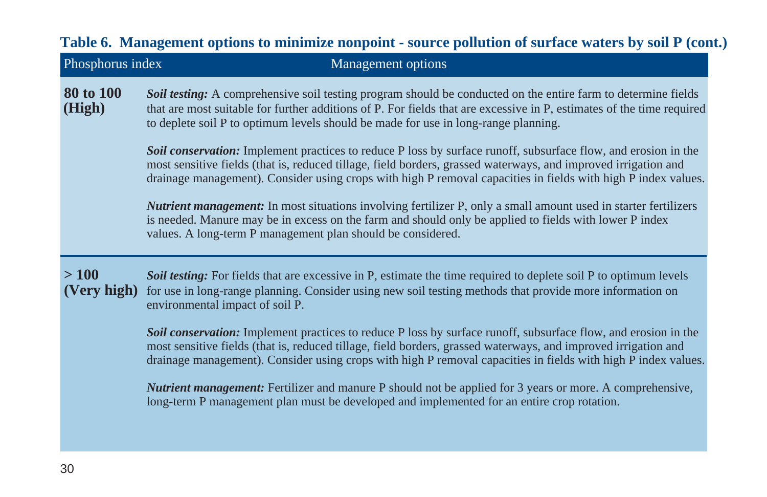|                     | Table 6. Management options to minimize nonpoint - source pollution of surface waters by soil P (cont.)                                                                                                                                                                                                                                           |
|---------------------|---------------------------------------------------------------------------------------------------------------------------------------------------------------------------------------------------------------------------------------------------------------------------------------------------------------------------------------------------|
| Phosphorus index    | <b>Management</b> options                                                                                                                                                                                                                                                                                                                         |
| 80 to 100<br>(High) | Soil testing: A comprehensive soil testing program should be conducted on the entire farm to determine fields<br>that are most suitable for further additions of P. For fields that are excessive in P, estimates of the time required<br>to deplete soil P to optimum levels should be made for use in long-range planning.                      |
|                     | Soil conservation: Implement practices to reduce P loss by surface runoff, subsurface flow, and erosion in the<br>most sensitive fields (that is, reduced tillage, field borders, grassed waterways, and improved irrigation and<br>drainage management). Consider using crops with high P removal capacities in fields with high P index values. |
|                     | <b>Nutrient management:</b> In most situations involving fertilizer P, only a small amount used in starter fertilizers<br>is needed. Manure may be in excess on the farm and should only be applied to fields with lower P index<br>values. A long-term P management plan should be considered.                                                   |
| >100<br>(Very high) | Soil testing: For fields that are excessive in P, estimate the time required to deplete soil P to optimum levels<br>for use in long-range planning. Consider using new soil testing methods that provide more information on<br>environmental impact of soil P.                                                                                   |
|                     | Soil conservation: Implement practices to reduce P loss by surface runoff, subsurface flow, and erosion in the<br>most sensitive fields (that is, reduced tillage, field borders, grassed waterways, and improved irrigation and<br>drainage management). Consider using crops with high P removal capacities in fields with high P index values. |
|                     | <b>Nutrient management:</b> Fertilizer and manure P should not be applied for 3 years or more. A comprehensive,<br>long-term P management plan must be developed and implemented for an entire crop rotation.                                                                                                                                     |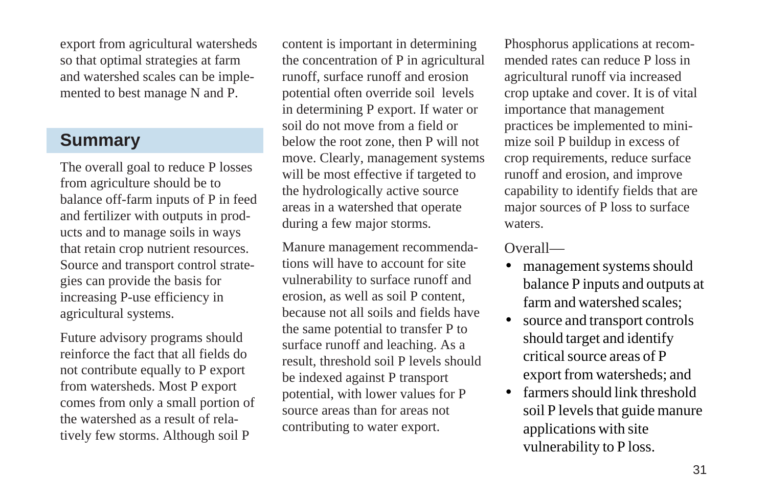export from agricultural watersheds so that optimal strategies at farm and watershed scales can be implemented to best manage N and P.

# **Summary**

The overall goal to reduce P losses from agriculture should be to balance off-farm inputs of P in feed and fertilizer with outputs in products and to manage soils in ways that retain crop nutrient resources. Source and transport control strategies can provide the basis for increasing P-use efficiency in agricultural systems.

Future advisory programs should reinforce the fact that all fields do not contribute equally to P export from watersheds. Most P export comes from only a small portion of the watershed as a result of relatively few storms. Although soil P

content is important in determining the concentration of P in agricultural runoff, surface runoff and erosion potential often override soil levels in determining P export. If water or soil do not move from a field or below the root zone, then P will not move. Clearly, management systems will be most effective if targeted to the hydrologically active source areas in a watershed that operate during a few major storms.

Manure management recommendations will have to account for site vulnerability to surface runoff and erosion, as well as soil P content, because not all soils and fields have the same potential to transfer P to surface runoff and leaching. As a result, threshold soil P levels should be indexed against P transport potential, with lower values for P source areas than for areas not contributing to water export.

Phosphorus applications at recommended rates can reduce P loss in agricultural runoff via increased crop uptake and cover. It is of vital importance that management practices be implemented to minimize soil P buildup in excess of crop requirements, reduce surface runoff and erosion, and improve capability to identify fields that are major sources of P loss to surface waters.

### Overall—

- management systems should balance P inputs and outputs at farm and watershed scales;
- source and transport controls should target and identify critical source areas of P export from watersheds; and
- farmers should link threshold soil P levels that guide manure applications with site vulnerability to P loss.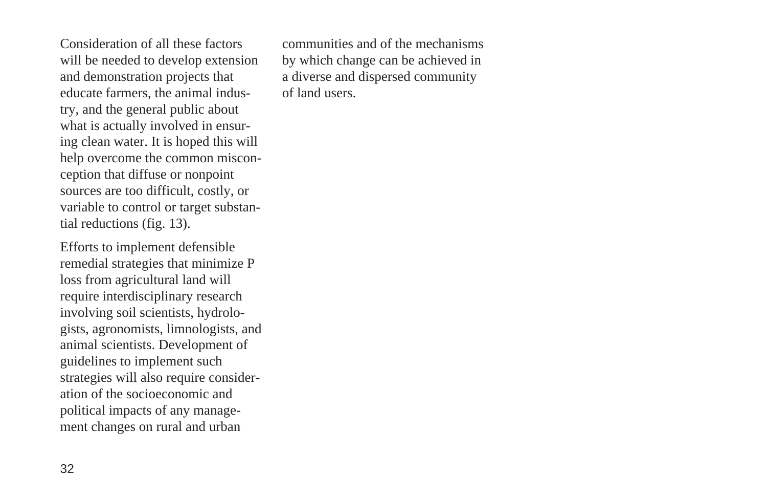Consideration of all these factors will be needed to develop extension and demonstration projects that educate farmers, the animal industry, and the general public about what is actually involved in ensuring clean water. It is hoped this will help overcome the common misconception that diffuse or nonpoint sources are too difficult, costly, or variable to control or target substantial reductions (fig. 13).

Efforts to implement defensible remedial strategies that minimize P loss from agricultural land will require interdisciplinary research involving soil scientists, hydrologists, agronomists, limnologists, and animal scientists. Development of guidelines to implement such strategies will also require consideration of the socioeconomic and political impacts of any management changes on rural and urban

communities and of the mechanisms by which change can be achieved in a diverse and dispersed community of land users.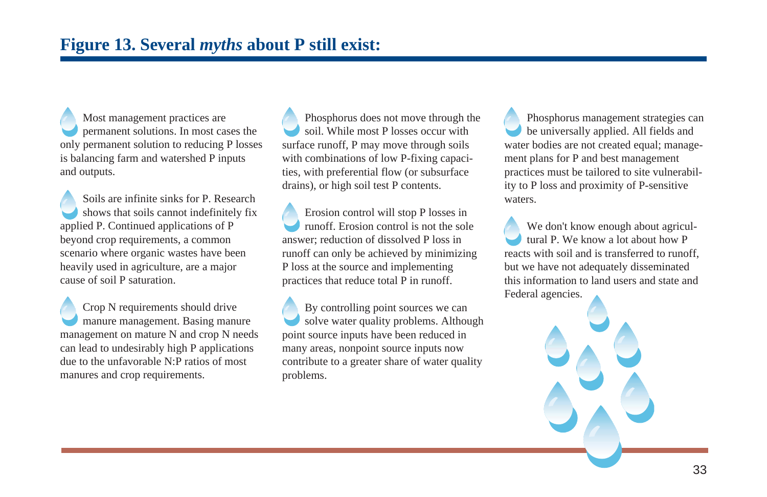Most management practices are permanent solutions. In most cases the only permanent solution to reducing P losses is balancing farm and watershed P inputs and outputs.

Soils are infinite sinks for P. Research shows that soils cannot indefinitely fix applied P. Continued applications of P beyond crop requirements, a common scenario where organic wastes have been heavily used in agriculture, are a major cause of soil P saturation.

Crop N requirements should drive manure management. Basing manure management on mature N and crop N needs can lead to undesirably high P applications due to the unfavorable N:P ratios of most manures and crop requirements.

Phosphorus does not move through the soil. While most P losses occur with surface runoff, P may move through soils with combinations of low P-fixing capacities, with preferential flow (or subsurface drains), or high soil test P contents.

Erosion control will stop P losses in runoff. Erosion control is not the sole answer; reduction of dissolved P loss in runoff can only be achieved by minimizing P loss at the source and implementing practices that reduce total P in runoff.

By controlling point sources we can solve water quality problems. Although point source inputs have been reduced in many areas, nonpoint source inputs now contribute to a greater share of water quality problems.

Phosphorus management strategies can be universally applied. All fields and water bodies are not created equal; management plans for P and best management practices must be tailored to site vulnerability to P loss and proximity of P-sensitive waters.

We don't know enough about agricultural P. We know a lot about how P reacts with soil and is transferred to runoff, but we have not adequately disseminated this information to land users and state and Federal agencies.

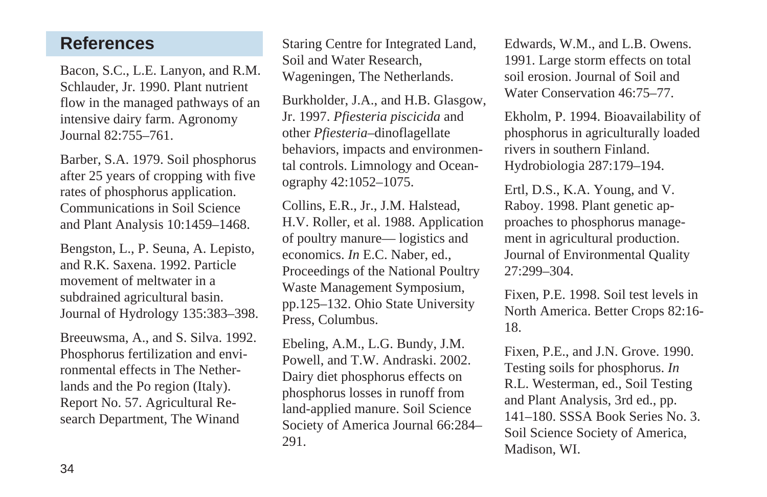## **References**

Bacon, S.C., L.E. Lanyon, and R.M. Schlauder, Jr. 1990. Plant nutrient flow in the managed pathways of an intensive dairy farm. Agronomy Journal 82:755–761.

Barber, S.A. 1979. Soil phosphorus after 25 years of cropping with five rates of phosphorus application. Communications in Soil Science and Plant Analysis 10:1459–1468.

Bengston, L., P. Seuna, A. Lepisto, and R.K. Saxena. 1992. Particle movement of meltwater in a subdrained agricultural basin. Journal of Hydrology 135:383–398.

Breeuwsma, A., and S. Silva. 1992. Phosphorus fertilization and environmental effects in The Netherlands and the Po region (Italy). Report No. 57. Agricultural Research Department, The Winand

Staring Centre for Integrated Land, Soil and Water Research, Wageningen, The Netherlands.

Burkholder, J.A., and H.B. Glasgow, Jr. 1997. *Pfiesteria piscicida* and other *Pfiesteria*–dinoflagellate behaviors, impacts and environmental controls. Limnology and Oceanography 42:1052–1075.

Collins, E.R., Jr., J.M. Halstead, H.V. Roller, et al. 1988. Application of poultry manure— logistics and economics. *In* E.C. Naber, ed., Proceedings of the National Poultry Waste Management Symposium, pp.125–132. Ohio State University Press, Columbus.

Ebeling, A.M., L.G. Bundy, J.M. Powell, and T.W. Andraski. 2002. Dairy diet phosphorus effects on phosphorus losses in runoff from land-applied manure. Soil Science Society of America Journal 66:284– 291.

Edwards, W.M., and L.B. Owens. 1991. Large storm effects on total soil erosion. Journal of Soil and Water Conservation 46:75–77.

Ekholm, P. 1994. Bioavailability of phosphorus in agriculturally loaded rivers in southern Finland. Hydrobiologia 287:179–194.

Ertl, D.S., K.A. Young, and V. Raboy. 1998. Plant genetic approaches to phosphorus management in agricultural production. Journal of Environmental Quality 27:299–304.

Fixen, P.E. 1998. Soil test levels in North America. Better Crops 82:16- 18.

Fixen, P.E., and J.N. Grove. 1990. Testing soils for phosphorus. *In* R.L. Westerman, ed., Soil Testing and Plant Analysis, 3rd ed., pp. 141–180. SSSA Book Series No. 3. Soil Science Society of America, Madison, WI.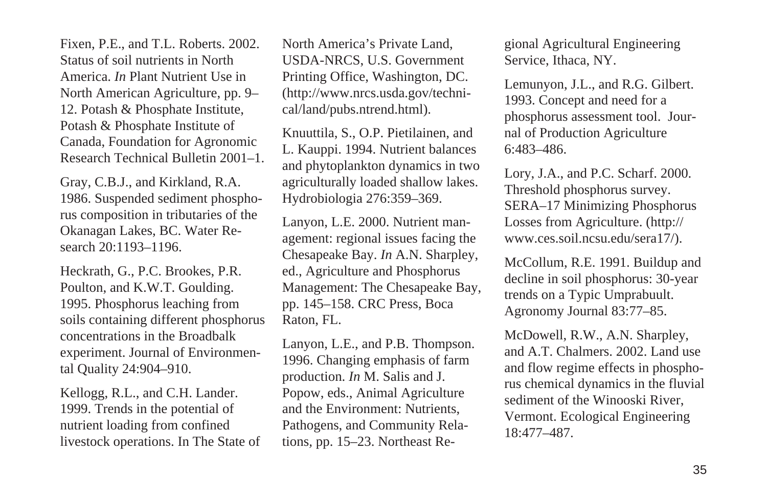Fixen, P.E., and T.L. Roberts. 2002. Status of soil nutrients in North America. *In* Plant Nutrient Use in North American Agriculture, pp. 9– 12. Potash & Phosphate Institute, Potash & Phosphate Institute of Canada, Foundation for Agronomic Research Technical Bulletin 2001–1.

Gray, C.B.J., and Kirkland, R.A. 1986. Suspended sediment phosphorus composition in tributaries of the Okanagan Lakes, BC. Water Research 20:1193–1196.

Heckrath, G., P.C. Brookes, P.R. Poulton, and K.W.T. Goulding. 1995. Phosphorus leaching from soils containing different phosphorus concentrations in the Broadbalk experiment. Journal of Environmental Quality 24:904–910.

Kellogg, R.L., and C.H. Lander. 1999. Trends in the potential of nutrient loading from confined livestock operations. In The State of

North America's Private Land, USDA-NRCS, U.S. Government Printing Office, Washington, DC. (http://www.nrcs.usda.gov/technical/land/pubs.ntrend.html).

Knuuttila, S., O.P. Pietilainen, and L. Kauppi. 1994. Nutrient balances and phytoplankton dynamics in two agriculturally loaded shallow lakes. Hydrobiologia 276:359–369.

Lanyon, L.E. 2000. Nutrient management: regional issues facing the Chesapeake Bay. *In* A.N. Sharpley, ed., Agriculture and Phosphorus Management: The Chesapeake Bay, pp. 145–158. CRC Press, Boca Raton, FL.

Lanyon, L.E., and P.B. Thompson. 1996. Changing emphasis of farm production. *In* M. Salis and J. Popow, eds., Animal Agriculture and the Environment: Nutrients, Pathogens, and Community Relations*,* pp. 15–23. Northeast Regional Agricultural Engineering Service, Ithaca, NY.

Lemunyon, J.L., and R.G. Gilbert. 1993. Concept and need for a phosphorus assessment tool. Journal of Production Agriculture 6:483–486.

Lory, J.A., and P.C. Scharf. 2000. Threshold phosphorus survey. SERA–17 Minimizing Phosphorus Losses from Agriculture. (http:// www.ces.soil.ncsu.edu/sera17/).

McCollum, R.E. 1991. Buildup and decline in soil phosphorus: 30-year trends on a Typic Umprabuult. Agronomy Journal 83:77–85.

McDowell, R.W., A.N. Sharpley, and A.T. Chalmers. 2002. Land use and flow regime effects in phosphorus chemical dynamics in the fluvial sediment of the Winooski River, Vermont. Ecological Engineering 18:477–487.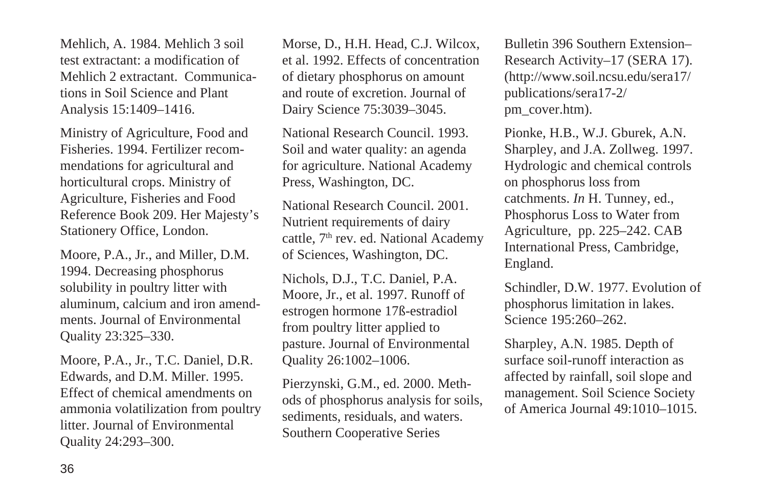Mehlich, A. 1984. Mehlich 3 soil test extractant: a modification of Mehlich 2 extractant. Communications in Soil Science and Plant Analysis 15:1409–1416.

Ministry of Agriculture, Food and Fisheries. 1994. Fertilizer recommendations for agricultural and horticultural crops. Ministry of Agriculture, Fisheries and Food Reference Book 209. Her Majesty's Stationery Office, London.

Moore, P.A., Jr., and Miller, D.M. 1994. Decreasing phosphorus solubility in poultry litter with aluminum, calcium and iron amendments. Journal of Environmental Quality 23:325–330.

Moore, P.A., Jr., T.C. Daniel, D.R. Edwards, and D.M. Miller. 1995. Effect of chemical amendments on ammonia volatilization from poultry litter. Journal of Environmental Quality 24:293–300.

Morse, D., H.H. Head, C.J. Wilcox, et al. 1992. Effects of concentration of dietary phosphorus on amount and route of excretion. Journal of Dairy Science 75:3039–3045.

National Research Council. 1993. Soil and water quality: an agenda for agriculture. National Academy Press, Washington, DC.

National Research Council. 2001. Nutrient requirements of dairy cattle, 7<sup>th</sup> rev. ed. National Academy of Sciences, Washington, DC.

Nichols, D.J., T.C. Daniel, P.A. Moore, Jr., et al. 1997. Runoff of estrogen hormone 17ß-estradiol from poultry litter applied to pasture. Journal of Environmental Quality 26:1002–1006.

Pierzynski, G.M., ed. 2000. Methods of phosphorus analysis for soils, sediments, residuals, and waters. Southern Cooperative Series

Bulletin 396 Southern Extension– Research Activity–17 (SERA 17). (http://www.soil.ncsu.edu/sera17/ publications/sera17-2/ pm\_cover.htm).

Pionke, H.B., W.J. Gburek, A.N. Sharpley, and J.A. Zollweg. 1997. Hydrologic and chemical controls on phosphorus loss from catchments. *In* H. Tunney, ed., Phosphorus Loss to Water from Agriculture, pp. 225–242. CAB International Press, Cambridge, England.

Schindler, D.W. 1977. Evolution of phosphorus limitation in lakes. Science 195:260–262.

Sharpley, A.N. 1985. Depth of surface soil-runoff interaction as affected by rainfall, soil slope and management. Soil Science Society of America Journal 49:1010–1015.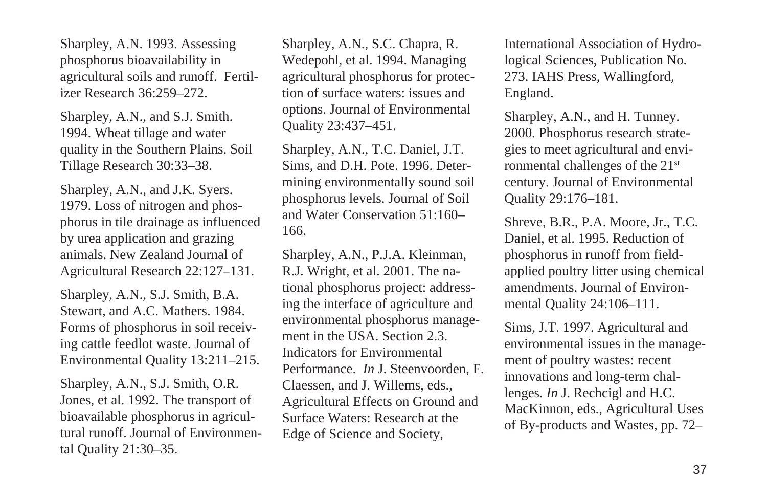Sharpley, A.N. 1993. Assessing phosphorus bioavailability in agricultural soils and runoff. Fertilizer Research 36:259–272.

Sharpley, A.N., and S.J. Smith. 1994. Wheat tillage and water quality in the Southern Plains. Soil Tillage Research 30:33–38.

Sharpley, A.N., and J.K. Syers. 1979. Loss of nitrogen and phosphorus in tile drainage as influenced by urea application and grazing animals. New Zealand Journal of Agricultural Research 22:127–131.

Sharpley, A.N., S.J. Smith, B.A. Stewart, and A.C. Mathers. 1984. Forms of phosphorus in soil receiving cattle feedlot waste. Journal of Environmental Quality 13:211–215.

Sharpley, A.N., S.J. Smith, O.R. Jones, et al. 1992. The transport of bioavailable phosphorus in agricultural runoff. Journal of Environmental Quality 21:30–35.

Sharpley, A.N., S.C. Chapra, R. Wedepohl, et al. 1994. Managing agricultural phosphorus for protection of surface waters: issues and options. Journal of Environmental Quality 23:437–451.

Sharpley, A.N., T.C. Daniel, J.T. Sims, and D.H. Pote. 1996. Determining environmentally sound soil phosphorus levels. Journal of Soil and Water Conservation 51:160– 166.

Sharpley, A.N., P.J.A. Kleinman, R.J. Wright, et al. 2001. The national phosphorus project: addressing the interface of agriculture and environmental phosphorus management in the USA. Section 2.3. Indicators for Environmental Performance. *In* J. Steenvoorden, F. Claessen, and J. Willems, eds., Agricultural Effects on Ground and Surface Waters: Research at the Edge of Science and Society,

International Association of Hydrological Sciences, Publication No. 273. IAHS Press, Wallingford, England.

Sharpley, A.N., and H. Tunney. 2000. Phosphorus research strategies to meet agricultural and environmental challenges of the 21<sup>st</sup> century. Journal of Environmental Quality 29:176–181.

Shreve, B.R., P.A. Moore, Jr., T.C. Daniel, et al. 1995. Reduction of phosphorus in runoff from fieldapplied poultry litter using chemical amendments. Journal of Environmental Quality 24:106–111.

Sims, J.T. 1997. Agricultural and environmental issues in the management of poultry wastes: recent innovations and long-term challenges. *In* J. Rechcigl and H.C. MacKinnon, eds., Agricultural Uses of By-products and Wastes, pp. 72–